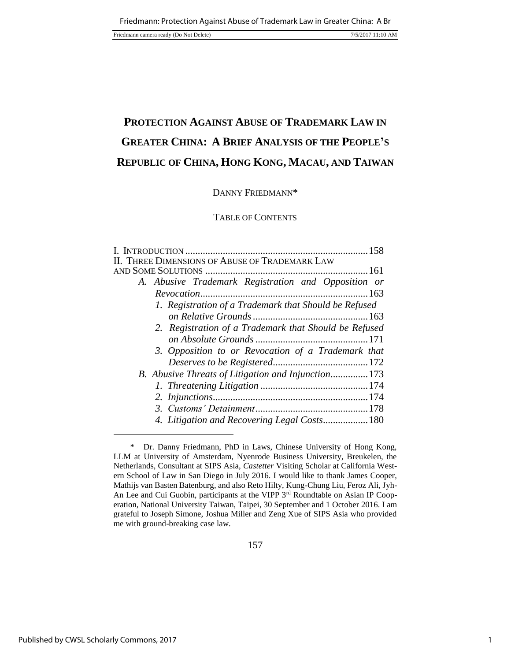Friedmann camera ready (Do Not Delete) 7/5/2017 11:10 AM

# **PROTECTION AGAINST ABUSE OF TRADEMARK LAW IN GREATER CHINA: A BRIEF ANALYSIS OF THE PEOPLE'S REPUBLIC OF CHINA, HONG KONG, MACAU, AND TAIWAN**

# DANNY FRIEDMANN\*

# TABLE OF CONTENTS

| II. THREE DIMENSIONS OF ABUSE OF TRADEMARK LAW        |
|-------------------------------------------------------|
|                                                       |
| A. Abusive Trademark Registration and Opposition or   |
|                                                       |
| 1. Registration of a Trademark that Should be Refused |
|                                                       |
| 2. Registration of a Trademark that Should be Refused |
|                                                       |
| 3. Opposition to or Revocation of a Trademark that    |
|                                                       |
| B. Abusive Threats of Litigation and Injunction173    |
|                                                       |
|                                                       |
|                                                       |
| 4. Litigation and Recovering Legal Costs 180          |

 <sup>\*</sup> Dr. Danny Friedmann, PhD in Laws, Chinese University of Hong Kong, LLM at University of Amsterdam, Nyenrode Business University, Breukelen, the Netherlands, Consultant at SIPS Asia, *Castetter* Visiting Scholar at California Western School of Law in San Diego in July 2016. I would like to thank James Cooper, Mathijs van Basten Batenburg, and also Reto Hilty, Kung-Chung Liu, Feroz Ali, Jyh-An Lee and Cui Guobin, participants at the VIPP 3<sup>rd</sup> Roundtable on Asian IP Cooperation, National University Taiwan, Taipei, 30 September and 1 October 2016. I am grateful to Joseph Simone, Joshua Miller and Zeng Xue of SIPS Asia who provided me with ground-breaking case law.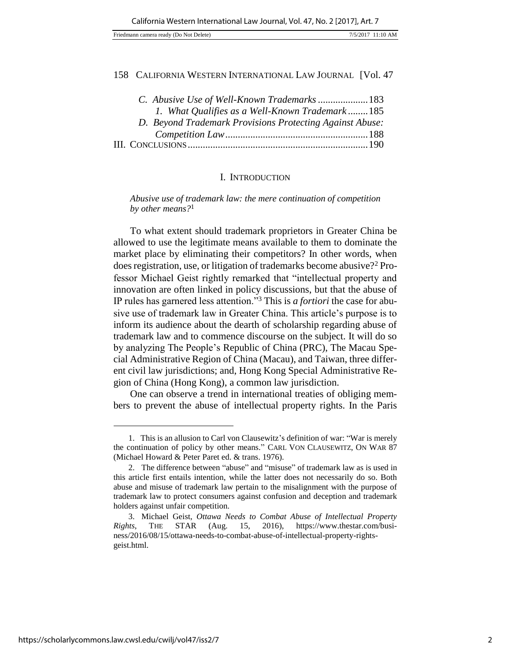| Friedmann camera ready (Do Not Delete) |  | 7/5/2017 11:10 AM |
|----------------------------------------|--|-------------------|
|----------------------------------------|--|-------------------|

| C. Abusive Use of Well-Known Trademarks  183             |  |
|----------------------------------------------------------|--|
| 1. What Qualifies as a Well-Known Trademark185           |  |
| D. Beyond Trademark Provisions Protecting Against Abuse: |  |
|                                                          |  |
|                                                          |  |

#### I. INTRODUCTION

*Abusive use of trademark law: the mere continuation of competition by other means?*<sup>1</sup>

To what extent should trademark proprietors in Greater China be allowed to use the legitimate means available to them to dominate the market place by eliminating their competitors? In other words, when does registration, use, or litigation of trademarks become abusive?<sup>2</sup> Professor Michael Geist rightly remarked that "intellectual property and innovation are often linked in policy discussions, but that the abuse of IP rules has garnered less attention."<sup>3</sup> This is *a fortiori* the case for abusive use of trademark law in Greater China. This article's purpose is to inform its audience about the dearth of scholarship regarding abuse of trademark law and to commence discourse on the subject. It will do so by analyzing The People's Republic of China (PRC), The Macau Special Administrative Region of China (Macau), and Taiwan, three different civil law jurisdictions; and, Hong Kong Special Administrative Region of China (Hong Kong), a common law jurisdiction.

One can observe a trend in international treaties of obliging members to prevent the abuse of intellectual property rights. In the Paris

<sup>1.</sup> This is an allusion to Carl von Clausewitz's definition of war: "War is merely the continuation of policy by other means." CARL VON CLAUSEWITZ, ON WAR 87 (Michael Howard & Peter Paret ed. & trans. 1976).

<sup>2.</sup> The difference between "abuse" and "misuse" of trademark law as is used in this article first entails intention, while the latter does not necessarily do so. Both abuse and misuse of trademark law pertain to the misalignment with the purpose of trademark law to protect consumers against confusion and deception and trademark holders against unfair competition.

<sup>3.</sup> Michael Geist, *Ottawa Needs to Combat Abuse of Intellectual Property Rights*, THE STAR (Aug. 15, 2016), https://www.thestar.com/business/2016/08/15/ottawa-needs-to-combat-abuse-of-intellectual-property-rightsgeist.html.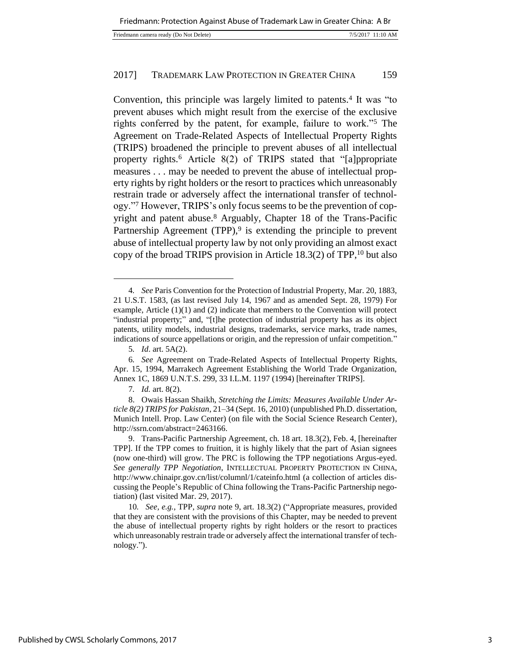Convention, this principle was largely limited to patents.<sup>4</sup> It was "to prevent abuses which might result from the exercise of the exclusive rights conferred by the patent, for example, failure to work."<sup>5</sup> The Agreement on Trade-Related Aspects of Intellectual Property Rights (TRIPS) broadened the principle to prevent abuses of all intellectual property rights.<sup>6</sup> Article 8(2) of TRIPS stated that "[a]ppropriate measures . . . may be needed to prevent the abuse of intellectual property rights by right holders or the resort to practices which unreasonably restrain trade or adversely affect the international transfer of technology."<sup>7</sup> However, TRIPS's only focus seems to be the prevention of copyright and patent abuse.<sup>8</sup> Arguably, Chapter 18 of the Trans-Pacific Partnership Agreement (TPP),<sup>9</sup> is extending the principle to prevent abuse of intellectual property law by not only providing an almost exact copy of the broad TRIPS provision in Article  $18.3(2)$  of TPP, <sup>10</sup> but also

l

7*. Id.* art. 8(2).

<sup>4</sup>*. See* Paris Convention for the Protection of Industrial Property, Mar. 20, 1883, 21 U.S.T. 1583, (as last revised July 14, 1967 and as amended Sept. 28, 1979) For example, Article  $(1)(1)$  and  $(2)$  indicate that members to the Convention will protect "industrial property;" and, "[t]he protection of industrial property has as its object patents, utility models, industrial designs, trademarks, service marks, trade names, indications of source appellations or origin, and the repression of unfair competition."

<sup>5</sup>*. Id*. art. 5A(2).

<sup>6</sup>*. See* Agreement on Trade-Related Aspects of Intellectual Property Rights, Apr. 15, 1994, Marrakech Agreement Establishing the World Trade Organization, Annex 1C, 1869 U.N.T.S. 299, 33 I.L.M. 1197 (1994) [hereinafter TRIPS].

<sup>8.</sup> Owais Hassan Shaikh, *Stretching the Limits: Measures Available Under Article 8(2) TRIPS for Pakistan*, 21–34 (Sept. 16, 2010) (unpublished Ph.D. dissertation, Munich Intell. Prop. Law Center) (on file with the Social Science Research Center), http://ssrn.com/abstract=2463166.

<sup>9.</sup> Trans-Pacific Partnership Agreement, ch. 18 art. 18.3(2), Feb. 4, [hereinafter TPP]. If the TPP comes to fruition, it is highly likely that the part of Asian signees (now one-third) will grow. The PRC is following the TPP negotiations Argus-eyed. *See generally TPP Negotiation*, INTELLECTUAL PROPERTY PROTECTION IN CHINA, http://www.chinaipr.gov.cn/list/columnl/1/cateinfo.html (a collection of articles discussing the People's Republic of China following the Trans-Pacific Partnership negotiation) (last visited Mar. 29, 2017).

<sup>10</sup>*. See, e.g.*, TPP, *supra* note 9, art. 18.3(2) ("Appropriate measures, provided that they are consistent with the provisions of this Chapter, may be needed to prevent the abuse of intellectual property rights by right holders or the resort to practices which unreasonably restrain trade or adversely affect the international transfer of technology.").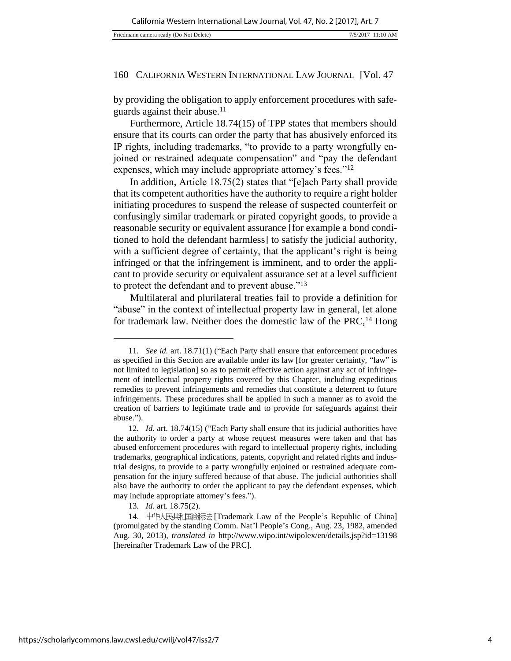by providing the obligation to apply enforcement procedures with safeguards against their abuse.<sup>11</sup>

Furthermore, Article 18.74(15) of TPP states that members should ensure that its courts can order the party that has abusively enforced its IP rights, including trademarks, "to provide to a party wrongfully enjoined or restrained adequate compensation" and "pay the defendant expenses, which may include appropriate attorney's fees."<sup>12</sup>

In addition, Article 18.75(2) states that "[e]ach Party shall provide that its competent authorities have the authority to require a right holder initiating procedures to suspend the release of suspected counterfeit or confusingly similar trademark or pirated copyright goods, to provide a reasonable security or equivalent assurance [for example a bond conditioned to hold the defendant harmless] to satisfy the judicial authority, with a sufficient degree of certainty, that the applicant's right is being infringed or that the infringement is imminent, and to order the applicant to provide security or equivalent assurance set at a level sufficient to protect the defendant and to prevent abuse."<sup>13</sup>

Multilateral and plurilateral treaties fail to provide a definition for "abuse" in the context of intellectual property law in general, let alone for trademark law. Neither does the domestic law of the PRC,  $^{14}$  Hong

<sup>11</sup>*. See id.* art. 18.71(1) ("Each Party shall ensure that enforcement procedures as specified in this Section are available under its law [for greater certainty, "law" is not limited to legislation] so as to permit effective action against any act of infringement of intellectual property rights covered by this Chapter, including expeditious remedies to prevent infringements and remedies that constitute a deterrent to future infringements. These procedures shall be applied in such a manner as to avoid the creation of barriers to legitimate trade and to provide for safeguards against their abuse.").

<sup>12</sup>*. Id*. art. 18.74(15) ("Each Party shall ensure that its judicial authorities have the authority to order a party at whose request measures were taken and that has abused enforcement procedures with regard to intellectual property rights, including trademarks, geographical indications, patents, copyright and related rights and industrial designs, to provide to a party wrongfully enjoined or restrained adequate compensation for the injury suffered because of that abuse. The judicial authorities shall also have the authority to order the applicant to pay the defendant expenses, which may include appropriate attorney's fees.").

<sup>13</sup>*. Id.* art. 18.75(2).

<sup>14.</sup> 中华人民共和国商标法 [Trademark Law of the People's Republic of China] (promulgated by the standing Comm. Nat'l People's Cong., Aug. 23, 1982, amended Aug. 30, 2013), *translated in* http://www.wipo.int/wipolex/en/details.jsp?id=13198 [hereinafter Trademark Law of the PRC].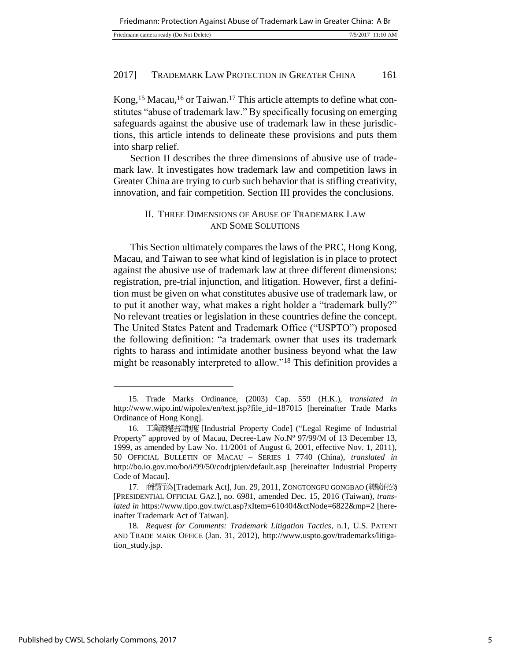| Friedmann camera ready (Do Not Delete) | 7/5/2017 11:10 AM |
|----------------------------------------|-------------------|
|                                        |                   |

Kong,<sup>15</sup> Macau,<sup>16</sup> or Taiwan.<sup>17</sup> This article attempts to define what constitutes "abuse of trademark law." By specifically focusing on emerging safeguards against the abusive use of trademark law in these jurisdictions, this article intends to delineate these provisions and puts them into sharp relief.

Section II describes the three dimensions of abusive use of trademark law. It investigates how trademark law and competition laws in Greater China are trying to curb such behavior that is stifling creativity, innovation, and fair competition. Section III provides the conclusions.

#### II. THREE DIMENSIONS OF ABUSE OF TRADEMARK LAW AND SOME SOLUTIONS

This Section ultimately compares the laws of the PRC, Hong Kong, Macau, and Taiwan to see what kind of legislation is in place to protect against the abusive use of trademark law at three different dimensions: registration, pre-trial injunction, and litigation. However, first a definition must be given on what constitutes abusive use of trademark law, or to put it another way, what makes a right holder a "trademark bully?" No relevant treaties or legislation in these countries define the concept. The United States Patent and Trademark Office ("USPTO") proposed the following definition: "a trademark owner that uses its trademark rights to harass and intimidate another business beyond what the law might be reasonably interpreted to allow."<sup>18</sup> This definition provides a

<sup>15.</sup> Trade Marks Ordinance, (2003) Cap. 559 (H.K.), *translated in*  http://www.wipo.int/wipolex/en/text.jsp?file\_id=187015 [hereinafter Trade Marks Ordinance of Hong Kong].

<sup>16.</sup> 工業產權法律制度 [Industrial Property Code] ("Legal Regime of Industrial Property" approved by of Macau, Decree-Law No.Nº 97/99/M of 13 December 13, 1999, as amended by Law No. 11/2001 of August 6, 2001, effective Nov. 1, 2011), 50 OFFICIAL BULLETIN OF MACAU – SERIES 1 7740 (China), *translated in*  http://bo.io.gov.mo/bo/i/99/50/codrjpien/default.asp [hereinafter Industrial Property Code of Macau].

<sup>17.</sup> 商標行為 [Trademark Act], Jun. 29, 2011, ZONGTONGFU GONGBAO (總統府公) [PRESIDENTIAL OFFICIAL GAZ.], no. 6981, amended Dec. 15, 2016 (Taiwan), *translated in* https://www.tipo.gov.tw/ct.asp?xItem=610404&ctNode=6822&mp=2 [hereinafter Trademark Act of Taiwan].

<sup>18</sup>*. Request for Comments: Trademark Litigation Tactics*, n.1, U.S. PATENT AND TRADE MARK OFFICE (Jan. 31, 2012), http://www.uspto.gov/trademarks/litigation\_study.jsp.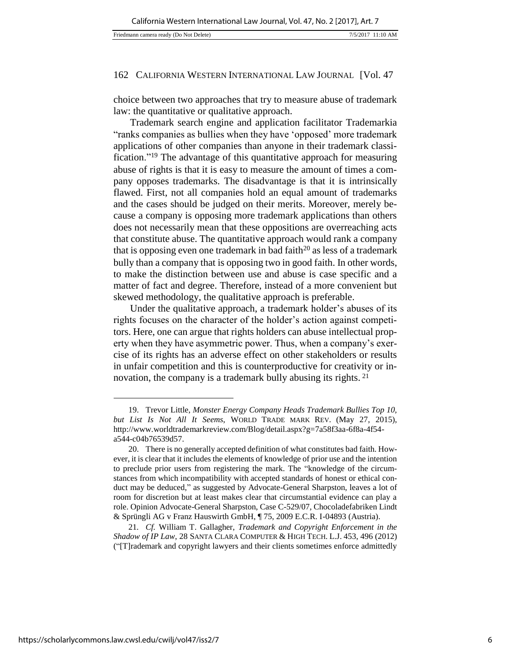choice between two approaches that try to measure abuse of trademark law: the quantitative or qualitative approach.

Trademark search engine and application facilitator Trademarkia "ranks companies as bullies when they have 'opposed' more trademark applications of other companies than anyone in their trademark classification."<sup>19</sup> The advantage of this quantitative approach for measuring abuse of rights is that it is easy to measure the amount of times a company opposes trademarks. The disadvantage is that it is intrinsically flawed. First, not all companies hold an equal amount of trademarks and the cases should be judged on their merits. Moreover, merely because a company is opposing more trademark applications than others does not necessarily mean that these oppositions are overreaching acts that constitute abuse. The quantitative approach would rank a company that is opposing even one trademark in bad faith<sup>20</sup> as less of a trademark bully than a company that is opposing two in good faith. In other words, to make the distinction between use and abuse is case specific and a matter of fact and degree. Therefore, instead of a more convenient but skewed methodology, the qualitative approach is preferable.

Under the qualitative approach, a trademark holder's abuses of its rights focuses on the character of the holder's action against competitors. Here, one can argue that rights holders can abuse intellectual property when they have asymmetric power. Thus, when a company's exercise of its rights has an adverse effect on other stakeholders or results in unfair competition and this is counterproductive for creativity or innovation, the company is a trademark bully abusing its rights. <sup>21</sup>

<sup>19.</sup> Trevor Little, *Monster Energy Company Heads Trademark Bullies Top 10, but List Is Not All It Seems*, WORLD TRADE MARK REV. (May 27, 2015), http://www.worldtrademarkreview.com/Blog/detail.aspx?g=7a58f3aa-6f8a-4f54 a544-c04b76539d57.

<sup>20.</sup> There is no generally accepted definition of what constitutes bad faith. However, it is clear that it includes the elements of knowledge of prior use and the intention to preclude prior users from registering the mark. The "knowledge of the circumstances from which incompatibility with accepted standards of honest or ethical conduct may be deduced," as suggested by Advocate-General Sharpston, leaves a lot of room for discretion but at least makes clear that circumstantial evidence can play a role. Opinion Advocate-General Sharpston, Case C-529/07, Chocoladefabriken Lindt & Sprüngli AG v Franz Hauswirth GmbH, ¶ 75, 2009 E.C.R. I-04893 (Austria).

<sup>21</sup>*. Cf.* William T. Gallagher, *Trademark and Copyright Enforcement in the Shadow of IP Law*, 28 SANTA CLARA COMPUTER & HIGH TECH. L.J. 453, 496 (2012) ("[T]rademark and copyright lawyers and their clients sometimes enforce admittedly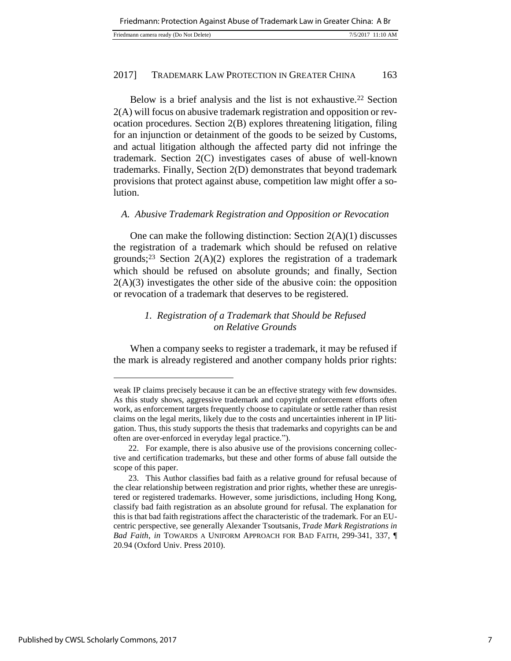| Friedmann camera ready (Do Not Delete) | 7/5/2017 11:10 AM |  |
|----------------------------------------|-------------------|--|
|----------------------------------------|-------------------|--|

Below is a brief analysis and the list is not exhaustive.<sup>22</sup> Section 2(A) will focus on abusive trademark registration and opposition or revocation procedures. Section 2(B) explores threatening litigation, filing for an injunction or detainment of the goods to be seized by Customs, and actual litigation although the affected party did not infringe the trademark. Section 2(C) investigates cases of abuse of well-known trademarks. Finally, Section 2(D) demonstrates that beyond trademark provisions that protect against abuse, competition law might offer a solution.

#### *A. Abusive Trademark Registration and Opposition or Revocation*

One can make the following distinction: Section  $2(A)(1)$  discusses the registration of a trademark which should be refused on relative grounds;<sup>23</sup> Section  $2(A)(2)$  explores the registration of a trademark which should be refused on absolute grounds; and finally, Section  $2(A)(3)$  investigates the other side of the abusive coin: the opposition or revocation of a trademark that deserves to be registered.

## *1. Registration of a Trademark that Should be Refused on Relative Grounds*

When a company seeks to register a trademark, it may be refused if the mark is already registered and another company holds prior rights:

weak IP claims precisely because it can be an effective strategy with few downsides. As this study shows, aggressive trademark and copyright enforcement efforts often work, as enforcement targets frequently choose to capitulate or settle rather than resist claims on the legal merits, likely due to the costs and uncertainties inherent in IP litigation. Thus, this study supports the thesis that trademarks and copyrights can be and often are over-enforced in everyday legal practice.").

<sup>22.</sup> For example, there is also abusive use of the provisions concerning collective and certification trademarks, but these and other forms of abuse fall outside the scope of this paper.

<sup>23.</sup> This Author classifies bad faith as a relative ground for refusal because of the clear relationship between registration and prior rights, whether these are unregistered or registered trademarks. However, some jurisdictions, including Hong Kong, classify bad faith registration as an absolute ground for refusal. The explanation for this is that bad faith registrations affect the characteristic of the trademark. For an EUcentric perspective, see generally Alexander Tsoutsanis, *Trade Mark Registrations in Bad Faith*, *in* TOWARDS A UNIFORM APPROACH FOR BAD FAITH, 299-341, 337, ¶ 20.94 (Oxford Univ. Press 2010).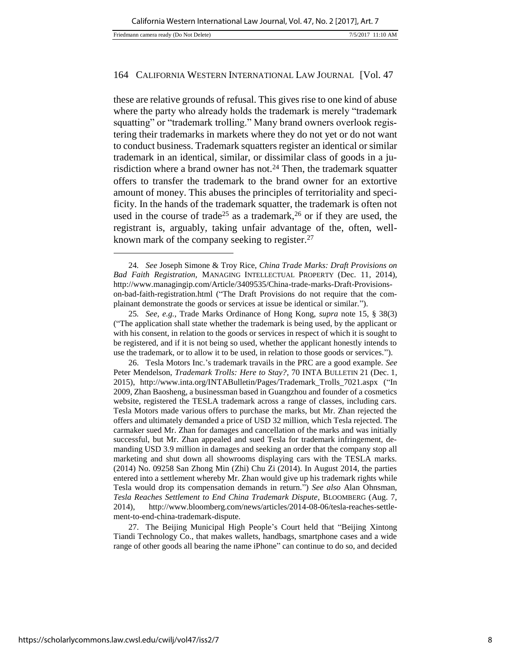these are relative grounds of refusal. This gives rise to one kind of abuse where the party who already holds the trademark is merely "trademark" squatting" or "trademark trolling." Many brand owners overlook registering their trademarks in markets where they do not yet or do not want to conduct business. Trademark squatters register an identical or similar trademark in an identical, similar, or dissimilar class of goods in a jurisdiction where a brand owner has not.<sup>24</sup> Then, the trademark squatter offers to transfer the trademark to the brand owner for an extortive amount of money. This abuses the principles of territoriality and specificity. In the hands of the trademark squatter, the trademark is often not used in the course of trade<sup>25</sup> as a trademark,<sup>26</sup> or if they are used, the registrant is, arguably, taking unfair advantage of the, often, wellknown mark of the company seeking to register.<sup>27</sup>

27. The Beijing Municipal High People's Court held that "Beijing Xintong Tiandi Technology Co., that makes wallets, handbags, smartphone cases and a wide range of other goods all bearing the name iPhone" can continue to do so, and decided

<sup>24</sup>*. See* Joseph Simone & Troy Rice, *China Trade Marks: Draft Provisions on Bad Faith Registration,* MANAGING INTELLECTUAL PROPERTY (Dec. 11, 2014), http://www.managingip.com/Article/3409535/China-trade-marks-Draft-Provisionson-bad-faith-registration.html ("The Draft Provisions do not require that the complainant demonstrate the goods or services at issue be identical or similar.").

<sup>25</sup>*. See, e.g.*, Trade Marks Ordinance of Hong Kong, *supra* note 15, § 38(3) ("The application shall state whether the trademark is being used, by the applicant or with his consent, in relation to the goods or services in respect of which it is sought to be registered, and if it is not being so used, whether the applicant honestly intends to use the trademark, or to allow it to be used, in relation to those goods or services.").

<sup>26.</sup> Tesla Motors Inc.'s trademark travails in the PRC are a good example. *See*  Peter Mendelson, *Trademark Trolls: Here to Stay?*, 70 INTA BULLETIN 21 (Dec. 1, 2015), http://www.inta.org/INTABulletin/Pages/Trademark\_Trolls\_7021.aspx ("In 2009, Zhan Baosheng, a businessman based in Guangzhou and founder of a cosmetics website, registered the TESLA trademark across a range of classes, including cars. Tesla Motors made various offers to purchase the marks, but Mr. Zhan rejected the offers and ultimately demanded a price of USD 32 million, which Tesla rejected. The carmaker sued Mr. Zhan for damages and cancellation of the marks and was initially successful, but Mr. Zhan appealed and sued Tesla for trademark infringement, demanding USD 3.9 million in damages and seeking an order that the company stop all marketing and shut down all showrooms displaying cars with the TESLA marks. (2014) No. 09258 San Zhong Min (Zhi) Chu Zi (2014). In August 2014, the parties entered into a settlement whereby Mr. Zhan would give up his trademark rights while Tesla would drop its compensation demands in return.") *See also* Alan Ohnsman, *Tesla Reaches Settlement to End China Trademark Dispute*, BLOOMBERG (Aug. 7, 2014), http://www.bloomberg.com/news/articles/2014-08-06/tesla-reaches-settlement-to-end-china-trademark-dispute.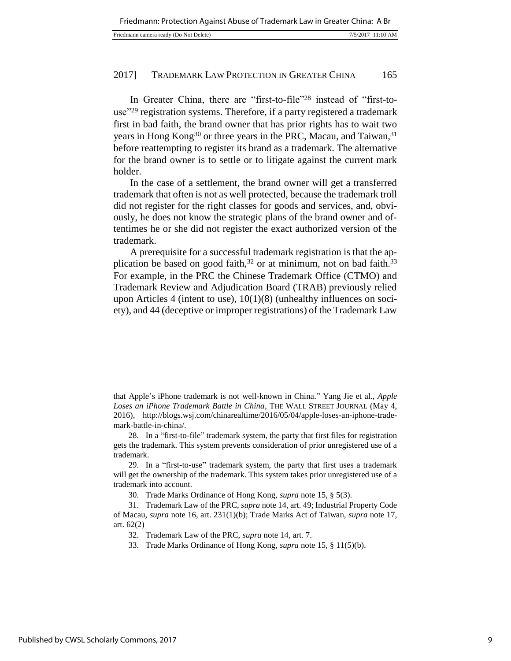| Friedmann camera ready (Do Not Delete)<br>7/5/2017 11:10 AM |  |
|-------------------------------------------------------------|--|
|-------------------------------------------------------------|--|

In Greater China, there are "first-to-file"<sup>28</sup> instead of "first-touse"<sup>29</sup> registration systems. Therefore, if a party registered a trademark first in bad faith, the brand owner that has prior rights has to wait two years in Hong Kong<sup>30</sup> or three years in the PRC, Macau, and Taiwan,<sup>31</sup> before reattempting to register its brand as a trademark. The alternative for the brand owner is to settle or to litigate against the current mark holder.

In the case of a settlement, the brand owner will get a transferred trademark that often is not as well protected, because the trademark troll did not register for the right classes for goods and services, and, obviously, he does not know the strategic plans of the brand owner and oftentimes he or she did not register the exact authorized version of the trademark.

A prerequisite for a successful trademark registration is that the application be based on good faith,  $32$  or at minimum, not on bad faith.  $33$ For example, in the PRC the Chinese Trademark Office (CTMO) and Trademark Review and Adjudication Board (TRAB) previously relied upon Articles 4 (intent to use), 10(1)(8) (unhealthy influences on society), and 44 (deceptive or improper registrations) of the Trademark Law

that Apple's iPhone trademark is not well-known in China." Yang Jie et al., *Apple Loses an iPhone Trademark Battle in China*, THE WALL STREET JOURNAL (May 4, 2016), http://blogs.wsj.com/chinarealtime/2016/05/04/apple-loses-an-iphone-trademark-battle-in-china/.

<sup>28.</sup> In a "first-to-file" trademark system, the party that first files for registration gets the trademark. This system prevents consideration of prior unregistered use of a trademark.

<sup>29.</sup> In a "first-to-use" trademark system, the party that first uses a trademark will get the ownership of the trademark. This system takes prior unregistered use of a trademark into account.

<sup>30.</sup> Trade Marks Ordinance of Hong Kong, *supra* note 15, § 5(3).

<sup>31.</sup> Trademark Law of the PRC, *supra* note 14, art. 49; Industrial Property Code of Macau, *supra* note 16, art. 231(1)(b); Trade Marks Act of Taiwan, *supra* note 17, art. 62(2)

<sup>32.</sup> Trademark Law of the PRC, *supra* note 14, art. 7.

<sup>33.</sup> Trade Marks Ordinance of Hong Kong, *supra* note 15, § 11(5)(b).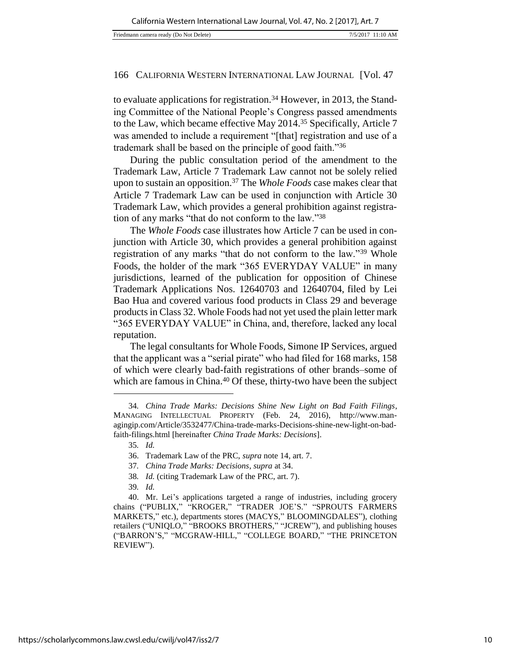to evaluate applications for registration.<sup>34</sup> However, in 2013, the Standing Committee of the National People's Congress passed amendments to the Law, which became effective May 2014.<sup>35</sup> Specifically, Article 7 was amended to include a requirement "[that] registration and use of a trademark shall be based on the principle of good faith."<sup>36</sup>

During the public consultation period of the amendment to the Trademark Law, Article 7 Trademark Law cannot not be solely relied upon to sustain an opposition.<sup>37</sup> The *Whole Foods* case makes clear that Article 7 Trademark Law can be used in conjunction with Article 30 Trademark Law, which provides a general prohibition against registration of any marks "that do not conform to the law."<sup>38</sup>

The *Whole Foods* case illustrates how Article 7 can be used in conjunction with Article 30, which provides a general prohibition against registration of any marks "that do not conform to the law."<sup>39</sup> Whole Foods, the holder of the mark "365 EVERYDAY VALUE" in many jurisdictions, learned of the publication for opposition of Chinese Trademark Applications Nos. 12640703 and 12640704, filed by Lei Bao Hua and covered various food products in Class 29 and beverage products in Class 32. Whole Foods had not yet used the plain letter mark "365 EVERYDAY VALUE" in China, and, therefore, lacked any local reputation.

The legal consultants for Whole Foods, Simone IP Services, argued that the applicant was a "serial pirate" who had filed for 168 marks, 158 of which were clearly bad-faith registrations of other brands–some of which are famous in China.<sup>40</sup> Of these, thirty-two have been the subject

- 37*. China Trade Marks: Decisions*, *supra* at 34.
- 38*. Id.* (citing Trademark Law of the PRC, art. 7).
- 39*. Id.*

<sup>34</sup>*. China Trade Marks: Decisions Shine New Light on Bad Faith Filings*, MANAGING INTELLECTUAL PROPERTY (Feb. 24, 2016), http://www.managingip.com/Article/3532477/China-trade-marks-Decisions-shine-new-light-on-badfaith-filings.html [hereinafter *China Trade Marks: Decisions*].

<sup>35</sup>*. Id.*

<sup>36.</sup> Trademark Law of the PRC, *supra* note 14, art. 7.

<sup>40.</sup> Mr. Lei's applications targeted a range of industries, including grocery chains ("PUBLIX," "KROGER," "TRADER JOE'S." "SPROUTS FARMERS MARKETS," etc.), departments stores (MACYS," BLOOMINGDALES"), clothing retailers ("UNIQLO," "BROOKS BROTHERS," "JCREW"), and publishing houses ("BARRON'S," "MCGRAW-HILL," "COLLEGE BOARD," "THE PRINCETON REVIEW").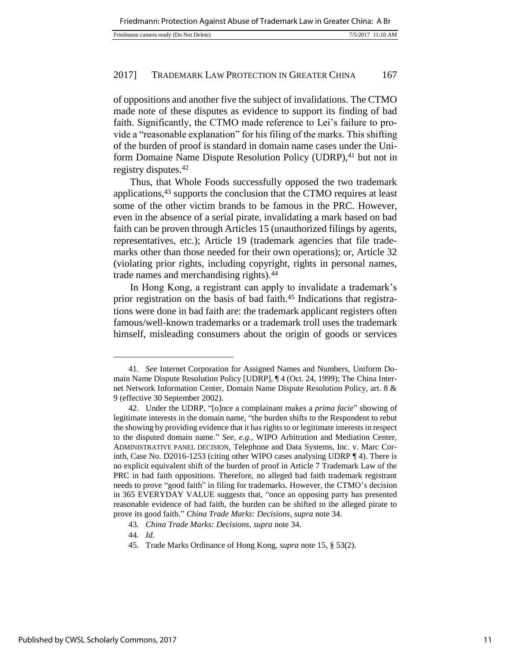of oppositions and another five the subject of invalidations. The CTMO made note of these disputes as evidence to support its finding of bad faith. Significantly, the CTMO made reference to Lei's failure to provide a "reasonable explanation" for his filing of the marks. This shifting of the burden of proof is standard in domain name cases under the Uniform Domaine Name Dispute Resolution Policy (UDRP),<sup>41</sup> but not in registry disputes.<sup>42</sup>

Thus, that Whole Foods successfully opposed the two trademark applications,<sup>43</sup> supports the conclusion that the CTMO requires at least some of the other victim brands to be famous in the PRC. However, even in the absence of a serial pirate, invalidating a mark based on bad faith can be proven through Articles 15 (unauthorized filings by agents, representatives, etc.); Article 19 (trademark agencies that file trademarks other than those needed for their own operations); or, Article 32 (violating prior rights, including copyright, rights in personal names, trade names and merchandising rights).<sup>44</sup>

In Hong Kong, a registrant can apply to invalidate a trademark's prior registration on the basis of bad faith.<sup>45</sup> Indications that registrations were done in bad faith are: the trademark applicant registers often famous/well-known trademarks or a trademark troll uses the trademark himself, misleading consumers about the origin of goods or services

<sup>41</sup>*. See* Internet Corporation for Assigned Names and Numbers, Uniform Domain Name Dispute Resolution Policy [UDRP], ¶ 4 (Oct. 24, 1999); The China Internet Network Information Center, Domain Name Dispute Resolution Policy, art. 8 & 9 (effective 30 September 2002).

<sup>42.</sup> Under the UDRP, "[o]nce a complainant makes a *prima facie*" showing of legitimate interests in the domain name, "the burden shifts to the Respondent to rebut the showing by providing evidence that it has rights to or legitimate interests in respect to the disputed domain name." *See, e.g.,* WIPO Arbitration and Mediation Center, ADMINISTRATIVE PANEL DECISION, Telephone and Data Systems, Inc. v. Marc Corinth, Case No. D2016-1253 (citing other WIPO cases analysing UDRP ¶ 4). There is no explicit equivalent shift of the burden of proof in Article 7 Trademark Law of the PRC in bad faith oppositions. Therefore, no alleged bad faith trademark registrant needs to prove "good faith" in filing for trademarks. However, the CTMO's decision in 365 EVERYDAY VALUE suggests that, "once an opposing party has presented reasonable evidence of bad faith, the burden can be shifted to the alleged pirate to prove its good faith." *China Trade Marks: Decisions*, *supra* note 34.

<sup>43</sup>*. China Trade Marks: Decisions*, *supra* note 34.

<sup>44</sup>*. Id.*

<sup>45.</sup> Trade Marks Ordinance of Hong Kong, *supra* note 15, § 53(2).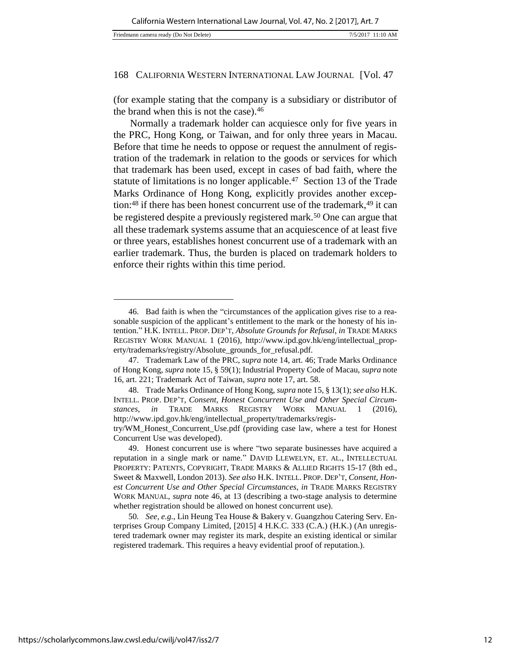(for example stating that the company is a subsidiary or distributor of the brand when this is not the case).<sup>46</sup>

Normally a trademark holder can acquiesce only for five years in the PRC, Hong Kong, or Taiwan, and for only three years in Macau. Before that time he needs to oppose or request the annulment of registration of the trademark in relation to the goods or services for which that trademark has been used, except in cases of bad faith, where the statute of limitations is no longer applicable.<sup>47</sup> Section 13 of the Trade Marks Ordinance of Hong Kong, explicitly provides another exception: $48$  if there has been honest concurrent use of the trademark, $49$  it can be registered despite a previously registered mark.<sup>50</sup> One can argue that all these trademark systems assume that an acquiescence of at least five or three years, establishes honest concurrent use of a trademark with an earlier trademark. Thus, the burden is placed on trademark holders to enforce their rights within this time period.

50*. See, e.g.*, Lin Heung Tea House & Bakery v. Guangzhou Catering Serv. Enterprises Group Company Limited, [2015] 4 H.K.C. 333 (C.A.) (H.K.) (An unregistered trademark owner may register its mark, despite an existing identical or similar registered trademark. This requires a heavy evidential proof of reputation.).

<sup>46.</sup> Bad faith is when the "circumstances of the application gives rise to a reasonable suspicion of the applicant's entitlement to the mark or the honesty of his intention." H.K. INTELL. PROP. DEP'T, *Absolute Grounds for Refusal*, *in* TRADE MARKS REGISTRY WORK MANUAL 1 (2016), http://www.ipd.gov.hk/eng/intellectual\_property/trademarks/registry/Absolute\_grounds\_for\_refusal.pdf.

<sup>47.</sup> Trademark Law of the PRC, *supra* note 14, art. 46; Trade Marks Ordinance of Hong Kong, *supra* note 15, § 59(1); Industrial Property Code of Macau, *supra* note 16, art. 221; Trademark Act of Taiwan, *supra* note 17, art. 58.

<sup>48.</sup> Trade Marks Ordinance of Hong Kong, *supra* note 15, § 13(1); *see also* H.K. INTELL. PROP. DEP'T, *Consent, Honest Concurrent Use and Other Special Circumstances*, *in* TRADE MARKS REGISTRY WORK MANUAL 1 (2016), http://www.ipd.gov.hk/eng/intellectual\_property/trademarks/regis-

try/WM\_Honest\_Concurrent\_Use.pdf (providing case law, where a test for Honest Concurrent Use was developed).

<sup>49.</sup> Honest concurrent use is where "two separate businesses have acquired a reputation in a single mark or name." DAVID LLEWELYN, ET. AL., INTELLECTUAL PROPERTY: PATENTS, COPYRIGHT, TRADE MARKS & ALLIED RIGHTS 15-17 (8th ed., Sweet & Maxwell, London 2013). *See also* H.K. INTELL. PROP. DEP'T, *Consent, Honest Concurrent Use and Other Special Circumstances*, *in* TRADE MARKS REGISTRY WORK MANUAL, *supra* note 46, at 13 (describing a two-stage analysis to determine whether registration should be allowed on honest concurrent use).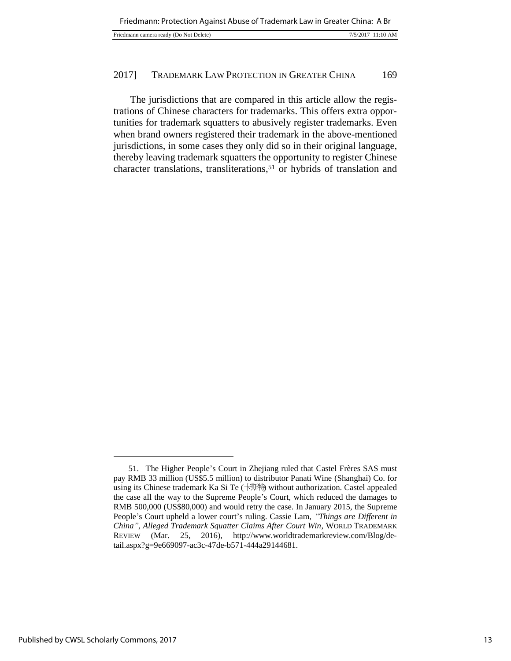|--|

The jurisdictions that are compared in this article allow the registrations of Chinese characters for trademarks. This offers extra opportunities for trademark squatters to abusively register trademarks. Even when brand owners registered their trademark in the above-mentioned jurisdictions, in some cases they only did so in their original language, thereby leaving trademark squatters the opportunity to register Chinese character translations, transliterations,<sup>51</sup> or hybrids of translation and

<sup>51.</sup> The Higher People's Court in Zhejiang ruled that Castel Frères SAS must pay RMB 33 million (US\$5.5 million) to distributor Panati Wine (Shanghai) Co. for using its Chinese trademark Ka Si Te (卡斯特) without authorization. Castel appealed the case all the way to the Supreme People's Court, which reduced the damages to RMB 500,000 (US\$80,000) and would retry the case. In January 2015, the Supreme People's Court upheld a lower court's ruling. Cassie Lam, *"Things are Different in China", Alleged Trademark Squatter Claims After Court Win*, WORLD TRADEMARK REVIEW (Mar. 25, 2016), http://www.worldtrademarkreview.com/Blog/detail.aspx?g=9e669097-ac3c-47de-b571-444a29144681.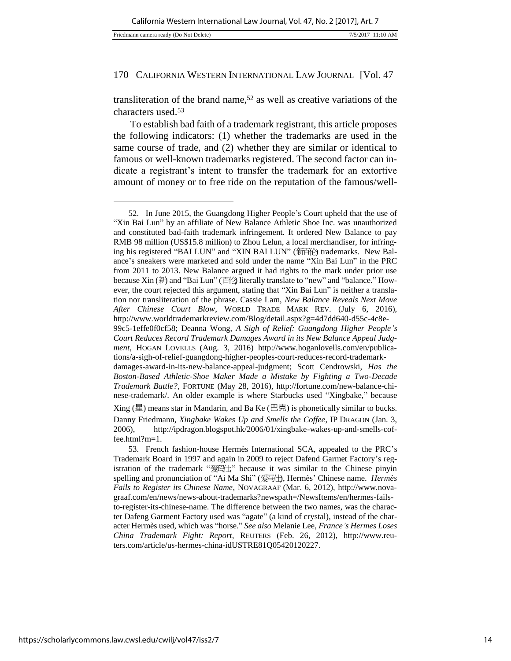l

#### 170 CALIFORNIA WESTERN INTERNATIONAL LAW JOURNAL [Vol. 47

transliteration of the brand name,<sup>52</sup> as well as creative variations of the characters used.<sup>53</sup>

To establish bad faith of a trademark registrant, this article proposes the following indicators: (1) whether the trademarks are used in the same course of trade, and (2) whether they are similar or identical to famous or well-known trademarks registered. The second factor can indicate a registrant's intent to transfer the trademark for an extortive amount of money or to free ride on the reputation of the famous/well-

<sup>52.</sup> In June 2015, the Guangdong Higher People's Court upheld that the use of "Xin Bai Lun" by an affiliate of New Balance Athletic Shoe Inc. was unauthorized and constituted bad-faith trademark infringement. It ordered New Balance to pay RMB 98 million (US\$15.8 million) to Zhou Lelun, a local merchandiser, for infringing his registered "BAI LUN" and "XIN BAI LUN" (新百伦) trademarks. New Balance's sneakers were marketed and sold under the name "Xin Bai Lun" in the PRC from 2011 to 2013. New Balance argued it had rights to the mark under prior use because Xin (新) and "Bai Lun" (百伦) literally translate to "new" and "balance." However, the court rejected this argument, stating that "Xin Bai Lun" is neither a translation nor transliteration of the phrase. Cassie Lam, *New Balance Reveals Next Move After Chinese Court Blow*, WORLD TRADE MARK REV. (July 6, 2016), http://www.worldtrademarkreview.com/Blog/detail.aspx?g=4d7dd640-d55c-4c8e-

<sup>99</sup>c5-1effe0f0cf58; Deanna Wong, *A Sigh of Relief: Guangdong Higher People's Court Reduces Record Trademark Damages Award in its New Balance Appeal Judgment*, HOGAN LOVELLS (Aug. 3, 2016) http://www.hoganlovells.com/en/publications/a-sigh-of-relief-guangdong-higher-peoples-court-reduces-record-trademark-

damages-award-in-its-new-balance-appeal-judgment; Scott Cendrowski, *Has the Boston-Based Athletic-Shoe Maker Made a Mistake by Fighting a Two-Decade Trademark Battle?*, FORTUNE (May 28, 2016), http://fortune.com/new-balance-chinese-trademark/. An older example is where Starbucks used "Xingbake," because

Xing (星) means star in Mandarin, and Ba Ke (巴克) is phonetically similar to bucks. Danny Friedmann, *Xingbake Wakes Up and Smells the Coffee*, IP DRAGON (Jan. 3, 2006), http://ipdragon.blogspot.hk/2006/01/xingbake-wakes-up-and-smells-coffee.html?m=1.

<sup>53.</sup> French fashion-house Hermès International SCA, appealed to the PRC's Trademark Board in 1997 and again in 2009 to reject Dafend Garmet Factory's registration of the trademark "爱玛仕," because it was similar to the Chinese pinyin spelling and pronunciation of "Ai Ma Shi" (爱马仕), Hermès' Chinese name. *Hermès Fails to Register its Chinese Name*, NOVAGRAAF (Mar. 6, 2012), http://www.novagraaf.com/en/news/news-about-trademarks?newspath=/NewsItems/en/hermes-failsto-register-its-chinese-name. The difference between the two names, was the character Dafeng Garment Factory used was "agate" (a kind of crystal), instead of the character Hermès used, which was "horse." *See also* Melanie Lee, *France's Hermes Loses China Trademark Fight: Report*, REUTERS (Feb. 26, 2012), http://www.reuters.com/article/us-hermes-china-idUSTRE81Q05420120227.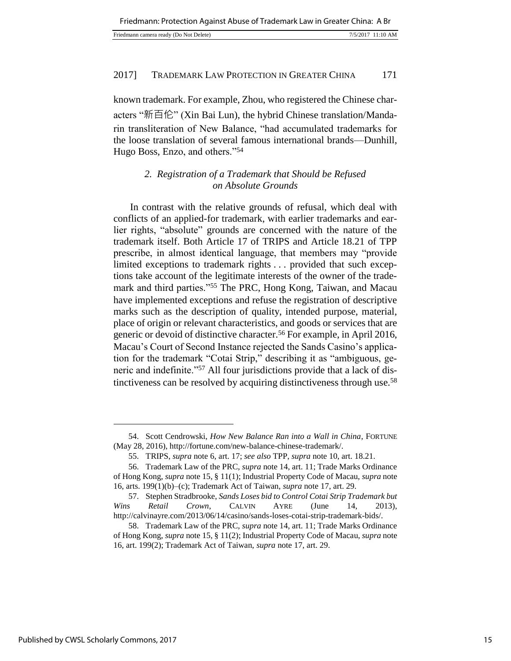| Friedmann: Protection Against Abuse of Trademark Law in Greater China: A Br |                   |
|-----------------------------------------------------------------------------|-------------------|
| Friedmann camera ready (Do Not Delete)                                      | 7/5/2017 11:10 AM |

known trademark. For example, Zhou, who registered the Chinese characters "新百伦" (Xin Bai Lun), the hybrid Chinese translation/Mandarin transliteration of New Balance, "had accumulated trademarks for the loose translation of several famous international brands—Dunhill, Hugo Boss, Enzo, and others."<sup>54</sup>

# *2. Registration of a Trademark that Should be Refused on Absolute Grounds*

In contrast with the relative grounds of refusal, which deal with conflicts of an applied-for trademark, with earlier trademarks and earlier rights, "absolute" grounds are concerned with the nature of the trademark itself. Both Article 17 of TRIPS and Article 18.21 of TPP prescribe, in almost identical language, that members may "provide limited exceptions to trademark rights . . . provided that such exceptions take account of the legitimate interests of the owner of the trademark and third parties."<sup>55</sup> The PRC, Hong Kong, Taiwan, and Macau have implemented exceptions and refuse the registration of descriptive marks such as the description of quality, intended purpose, material, place of origin or relevant characteristics, and goods or services that are generic or devoid of distinctive character.<sup>56</sup> For example, in April 2016, Macau's Court of Second Instance rejected the Sands Casino's application for the trademark "Cotai Strip," describing it as "ambiguous, generic and indefinite."57 All four jurisdictions provide that a lack of distinctiveness can be resolved by acquiring distinctiveness through use.<sup>58</sup>

<sup>54.</sup> Scott Cendrowski, *How New Balance Ran into a Wall in China*, FORTUNE (May 28, 2016), http://fortune.com/new-balance-chinese-trademark/.

<sup>55.</sup> TRIPS, *supra* note 6, art. 17; *see also* TPP, *supra* note 10, art. 18.21.

<sup>56.</sup> Trademark Law of the PRC, *supra* note 14, art. 11; Trade Marks Ordinance of Hong Kong, *supra* note 15, § 11(1); Industrial Property Code of Macau, *supra* note 16, arts. 199(1)(b)–(c); Trademark Act of Taiwan, *supra* note 17, art. 29.

<sup>57.</sup> Stephen Stradbrooke, *Sands Loses bid to Control Cotai Strip Trademark but Wins Retail Crown*, CALVIN AYRE (June 14, 2013), http://calvinayre.com/2013/06/14/casino/sands-loses-cotai-strip-trademark-bids/.

<sup>58.</sup> Trademark Law of the PRC, *supra* note 14, art. 11; Trade Marks Ordinance of Hong Kong, *supra* note 15, § 11(2); Industrial Property Code of Macau, *supra* note 16, art. 199(2); Trademark Act of Taiwan, *supra* note 17, art. 29.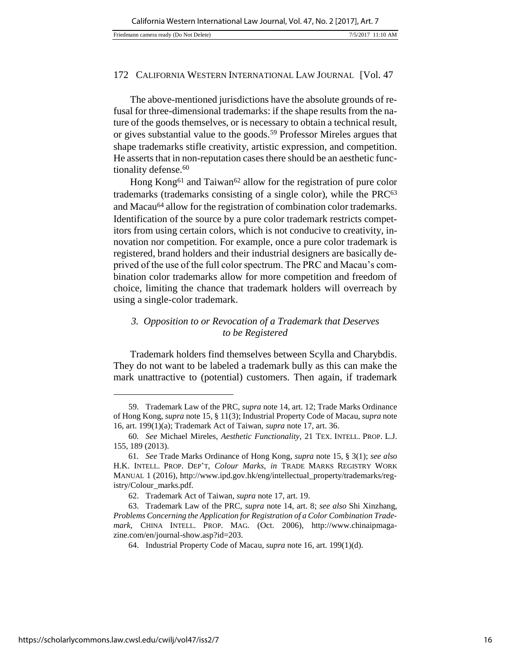The above-mentioned jurisdictions have the absolute grounds of refusal for three-dimensional trademarks: if the shape results from the nature of the goods themselves, or is necessary to obtain a technical result, or gives substantial value to the goods.<sup>59</sup> Professor Mireles argues that shape trademarks stifle creativity, artistic expression, and competition. He asserts that in non-reputation cases there should be an aesthetic functionality defense.<sup>60</sup>

Hong Kong<sup>61</sup> and Taiwan<sup>62</sup> allow for the registration of pure color trademarks (trademarks consisting of a single color), while the PRC<sup>63</sup> and Macau<sup>64</sup> allow for the registration of combination color trademarks. Identification of the source by a pure color trademark restricts competitors from using certain colors, which is not conducive to creativity, innovation nor competition. For example, once a pure color trademark is registered, brand holders and their industrial designers are basically deprived of the use of the full color spectrum. The PRC and Macau's combination color trademarks allow for more competition and freedom of choice, limiting the chance that trademark holders will overreach by using a single-color trademark.

## *3. Opposition to or Revocation of a Trademark that Deserves to be Registered*

Trademark holders find themselves between Scylla and Charybdis. They do not want to be labeled a trademark bully as this can make the mark unattractive to (potential) customers. Then again, if trademark

<sup>59.</sup> Trademark Law of the PRC, *supra* note 14, art. 12; Trade Marks Ordinance of Hong Kong, *supra* note 15, § 11(3); Industrial Property Code of Macau, *supra* note 16, art. 199(1)(a); Trademark Act of Taiwan, *supra* note 17, art. 36.

<sup>60</sup>*. See* Michael Mireles, *Aesthetic Functionality*, 21 TEX. INTELL. PROP. L.J. 155, 189 (2013).

<sup>61</sup>*. See* Trade Marks Ordinance of Hong Kong, *supra* note 15, § 3(1); *see also* H.K. INTELL. PROP. DEP'T, *Colour Marks*, *in* TRADE MARKS REGISTRY WORK MANUAL 1 (2016), http://www.ipd.gov.hk/eng/intellectual\_property/trademarks/registry/Colour\_marks.pdf.

<sup>62.</sup> Trademark Act of Taiwan, *supra* note 17, art. 19.

<sup>63.</sup> Trademark Law of the PRC, *supra* note 14, art. 8; *see also* Shi Xinzhang, *Problems Concerning the Application for Registration of a Color Combination Trademark*, CHINA INTELL. PROP. MAG. (Oct. 2006), http://www.chinaipmagazine.com/en/journal-show.asp?id=203.

<sup>64.</sup> Industrial Property Code of Macau, *supra* note 16, art. 199(1)(d).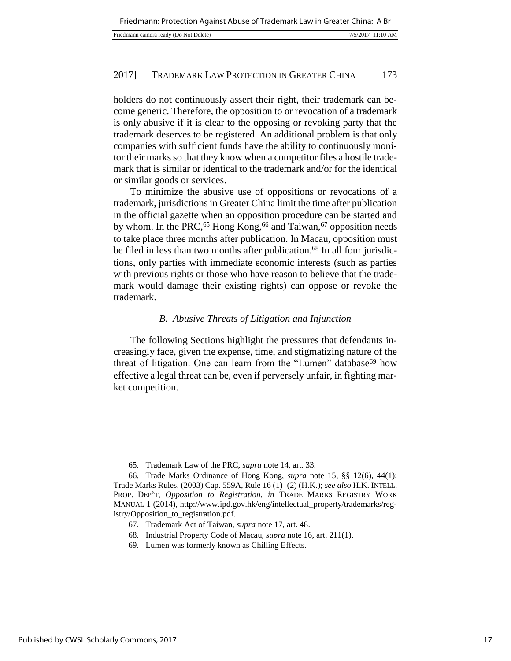| Friedmann camera ready (Do Not Delete) | 7/5/2017 11:10 AM |
|----------------------------------------|-------------------|

holders do not continuously assert their right, their trademark can become generic. Therefore, the opposition to or revocation of a trademark is only abusive if it is clear to the opposing or revoking party that the trademark deserves to be registered. An additional problem is that only companies with sufficient funds have the ability to continuously monitor their marks so that they know when a competitor files a hostile trademark that is similar or identical to the trademark and/or for the identical or similar goods or services.

To minimize the abusive use of oppositions or revocations of a trademark, jurisdictions in Greater China limit the time after publication in the official gazette when an opposition procedure can be started and by whom. In the PRC,<sup>65</sup> Hong Kong,<sup>66</sup> and Taiwan,<sup>67</sup> opposition needs to take place three months after publication. In Macau, opposition must be filed in less than two months after publication.<sup>68</sup> In all four jurisdictions, only parties with immediate economic interests (such as parties with previous rights or those who have reason to believe that the trademark would damage their existing rights) can oppose or revoke the trademark.

## *B. Abusive Threats of Litigation and Injunction*

The following Sections highlight the pressures that defendants increasingly face, given the expense, time, and stigmatizing nature of the threat of litigation. One can learn from the "Lumen" database<sup>69</sup> how effective a legal threat can be, even if perversely unfair, in fighting market competition.

<sup>65.</sup> Trademark Law of the PRC, *supra* note 14, art. 33.

<sup>66.</sup> Trade Marks Ordinance of Hong Kong, *supra* note 15, §§ 12(6), 44(1); Trade Marks Rules, (2003) Cap. 559A, Rule 16 (1)–(2) (H.K.); *see also* H.K. INTELL. PROP. DEP'T, *Opposition to Registration*, *in* TRADE MARKS REGISTRY WORK MANUAL 1 (2014), http://www.ipd.gov.hk/eng/intellectual\_property/trademarks/registry/Opposition\_to\_registration.pdf.

<sup>67.</sup> Trademark Act of Taiwan, *supra* note 17, art. 48.

<sup>68.</sup> Industrial Property Code of Macau, *supra* note 16, art. 211(1).

<sup>69.</sup> Lumen was formerly known as Chilling Effects.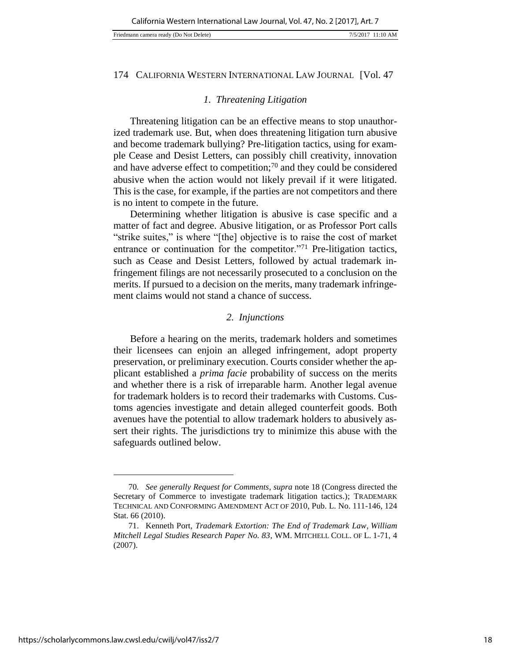#### Friedmann camera ready (Do Not Delete) 7/5/2017 11:10 AM

#### 174 CALIFORNIA WESTERN INTERNATIONAL LAW JOURNAL [Vol. 47

#### *1. Threatening Litigation*

Threatening litigation can be an effective means to stop unauthorized trademark use. But, when does threatening litigation turn abusive and become trademark bullying? Pre-litigation tactics, using for example Cease and Desist Letters, can possibly chill creativity, innovation and have adverse effect to competition;<sup>70</sup> and they could be considered abusive when the action would not likely prevail if it were litigated. This is the case, for example, if the parties are not competitors and there is no intent to compete in the future.

Determining whether litigation is abusive is case specific and a matter of fact and degree. Abusive litigation, or as Professor Port calls "strike suites," is where "[the] objective is to raise the cost of market entrance or continuation for the competitor."<sup>71</sup> Pre-litigation tactics, such as Cease and Desist Letters, followed by actual trademark infringement filings are not necessarily prosecuted to a conclusion on the merits. If pursued to a decision on the merits, many trademark infringement claims would not stand a chance of success.

## *2. Injunctions*

Before a hearing on the merits, trademark holders and sometimes their licensees can enjoin an alleged infringement, adopt property preservation, or preliminary execution. Courts consider whether the applicant established a *prima facie* probability of success on the merits and whether there is a risk of irreparable harm. Another legal avenue for trademark holders is to record their trademarks with Customs. Customs agencies investigate and detain alleged counterfeit goods. Both avenues have the potential to allow trademark holders to abusively assert their rights. The jurisdictions try to minimize this abuse with the safeguards outlined below.

<sup>70</sup>*. See generally Request for Comments*, *supra* note 18 (Congress directed the Secretary of Commerce to investigate trademark litigation tactics.); TRADEMARK TECHNICAL AND CONFORMING AMENDMENT ACT OF 2010, Pub. L. No. 111-146, 124 Stat. 66 (2010).

<sup>71.</sup> Kenneth Port, *Trademark Extortion: The End of Trademark Law*, *William Mitchell Legal Studies Research Paper No. 83*, WM. MITCHELL COLL. OF L. 1-71, 4 (2007).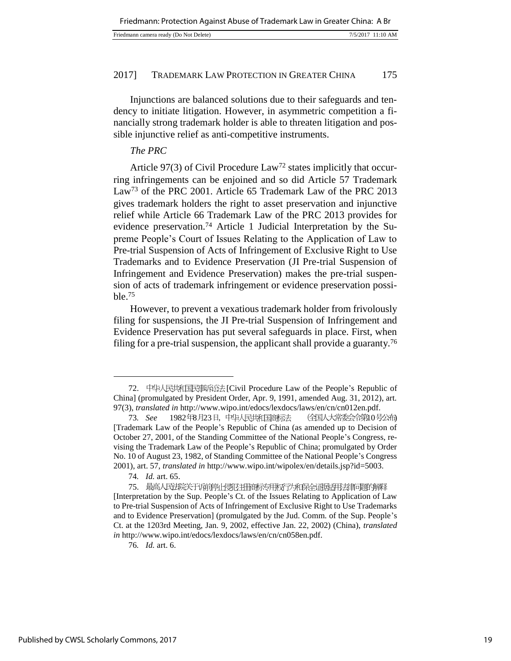| Friedmann camera ready (Do Not Delete)<br>7/5/2017 11:10 AM |  |
|-------------------------------------------------------------|--|
|-------------------------------------------------------------|--|

Injunctions are balanced solutions due to their safeguards and tendency to initiate litigation. However, in asymmetric competition a financially strong trademark holder is able to threaten litigation and possible injunctive relief as anti-competitive instruments.

## *The PRC*

Article 97(3) of Civil Procedure Law<sup>72</sup> states implicitly that occurring infringements can be enjoined and so did Article 57 Trademark Law<sup>73</sup> of the PRC 2001. Article 65 Trademark Law of the PRC 2013 gives trademark holders the right to asset preservation and injunctive relief while Article 66 Trademark Law of the PRC 2013 provides for evidence preservation.74 Article 1 Judicial Interpretation by the Supreme People's Court of Issues Relating to the Application of Law to Pre-trial Suspension of Acts of Infringement of Exclusive Right to Use Trademarks and to Evidence Preservation (JI Pre-trial Suspension of Infringement and Evidence Preservation) makes the pre-trial suspension of acts of trademark infringement or evidence preservation possible.<sup>75</sup>

However, to prevent a vexatious trademark holder from frivolously filing for suspensions, the JI Pre-trial Suspension of Infringement and Evidence Preservation has put several safeguards in place. First, when filing for a pre-trial suspension, the applicant shall provide a guaranty.<sup>76</sup>

<sup>72.</sup> 中华人民共和国民事诉讼法 [Civil Procedure Law of the People's Republic of China] (promulgated by President Order, Apr. 9, 1991, amended Aug. 31, 2012), art. 97(3), *translated in* http://www.wipo.int/edocs/lexdocs/laws/en/cn/cn012en.pdf.

<sup>73</sup>*. See* 1982年8月23日,中华人民共和国商标法 (全国人大常委会令第10号公布) [Trademark Law of the People's Republic of China (as amended up to Decision of October 27, 2001, of the Standing Committee of the National People's Congress, revising the Trademark Law of the People's Republic of China; promulgated by Order No. 10 of August 23, 1982, of Standing Committee of the National People's Congress 2001), art. 57, *translated in* http://www.wipo.int/wipolex/en/details.jsp?id=5003.

<sup>74</sup>*. Id.* art. 65.

<sup>75.</sup> 最高人民法院关于诉前停止侵犯注册商标专用权行为和保全证据适用法律问题的解释 [Interpretation by the Sup. People's Ct. of the Issues Relating to Application of Law to Pre-trial Suspension of Acts of Infringement of Exclusive Right to Use Trademarks and to Evidence Preservation] (promulgated by the Jud. Comm. of the Sup. People's Ct. at the 1203rd Meeting, Jan. 9, 2002, effective Jan. 22, 2002) (China), *translated in* http://www.wipo.int/edocs/lexdocs/laws/en/cn/cn058en.pdf.

<sup>76</sup>*. Id.* art. 6.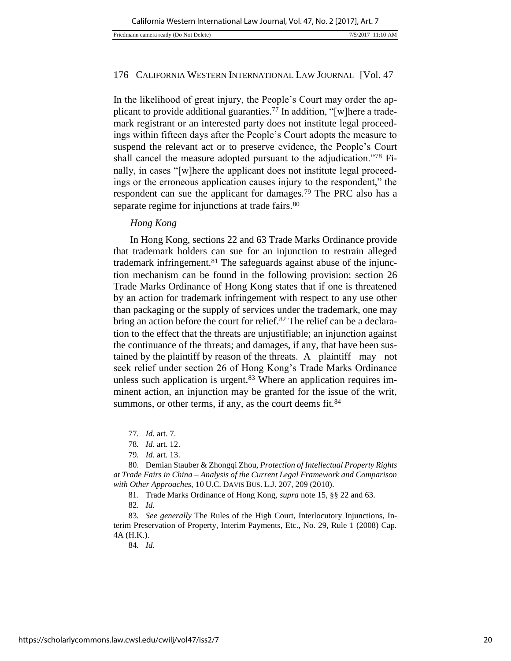In the likelihood of great injury, the People's Court may order the applicant to provide additional guaranties.<sup>77</sup> In addition, "[w]here a trademark registrant or an interested party does not institute legal proceedings within fifteen days after the People's Court adopts the measure to suspend the relevant act or to preserve evidence, the People's Court shall cancel the measure adopted pursuant to the adjudication."78 Finally, in cases "[w]here the applicant does not institute legal proceedings or the erroneous application causes injury to the respondent," the respondent can sue the applicant for damages.<sup>79</sup> The PRC also has a separate regime for injunctions at trade fairs.<sup>80</sup>

## *Hong Kong*

In Hong Kong, sections 22 and 63 Trade Marks Ordinance provide that trademark holders can sue for an injunction to restrain alleged trademark infringement.81 The safeguards against abuse of the injunction mechanism can be found in the following provision: section 26 Trade Marks Ordinance of Hong Kong states that if one is threatened by an action for trademark infringement with respect to any use other than packaging or the supply of services under the trademark, one may bring an action before the court for relief.<sup>82</sup> The relief can be a declaration to the effect that the threats are unjustifiable; an injunction against the continuance of the threats; and damages, if any, that have been sustained by the plaintiff by reason of the threats. A plaintiff may not seek relief under section 26 of Hong Kong's Trade Marks Ordinance unless such application is urgent. $83$  Where an application requires imminent action, an injunction may be granted for the issue of the writ, summons, or other terms, if any, as the court deems fit.<sup>84</sup>

l

81. Trade Marks Ordinance of Hong Kong, *supra* note 15, §§ 22 and 63.

84*. Id*.

<sup>77</sup>*. Id.* art. 7.

<sup>78</sup>*. Id.* art. 12.

<sup>79</sup>*. Id.* art. 13.

<sup>80.</sup> Demian Stauber & Zhongqi Zhou, *Protection of Intellectual Property Rights at Trade Fairs in China – Analysis of the Current Legal Framework and Comparison with Other Approaches,* 10 U.C. DAVIS BUS. L.J. 207, 209 (2010).

<sup>82</sup>*. Id.* 

<sup>83</sup>*. See generally* The Rules of the High Court, Interlocutory Injunctions, Interim Preservation of Property, Interim Payments, Etc., No. 29, Rule 1 (2008) Cap. 4A (H.K.).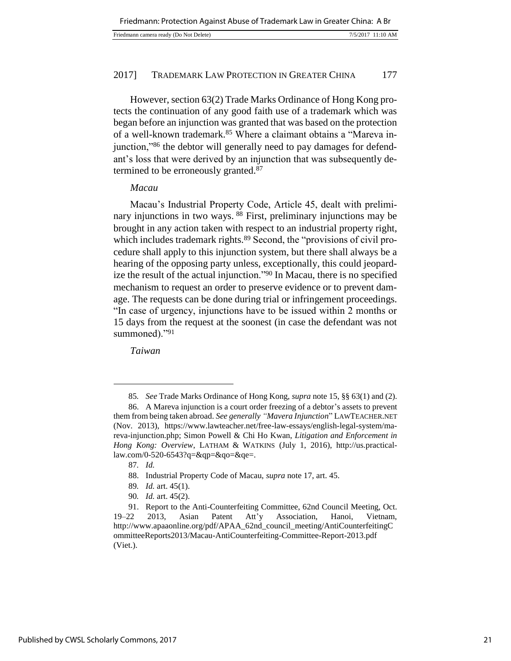| Friedmann camera ready (Do Not Delete) | 7/5/2017 11:10 AM |
|----------------------------------------|-------------------|
|----------------------------------------|-------------------|

However, section 63(2) Trade Marks Ordinance of Hong Kong protects the continuation of any good faith use of a trademark which was began before an injunction was granted that was based on the protection of a well-known trademark.<sup>85</sup> Where a claimant obtains a "Mareva injunction,"86 the debtor will generally need to pay damages for defendant's loss that were derived by an injunction that was subsequently determined to be erroneously granted.<sup>87</sup>

## *Macau*

Macau's Industrial Property Code, Article 45, dealt with preliminary injunctions in two ways. <sup>88</sup> First, preliminary injunctions may be brought in any action taken with respect to an industrial property right, which includes trademark rights.<sup>89</sup> Second, the "provisions of civil procedure shall apply to this injunction system, but there shall always be a hearing of the opposing party unless, exceptionally, this could jeopardize the result of the actual injunction."<sup>90</sup> In Macau, there is no specified mechanism to request an order to preserve evidence or to prevent damage. The requests can be done during trial or infringement proceedings. "In case of urgency, injunctions have to be issued within 2 months or 15 days from the request at the soonest (in case the defendant was not summoned)."91

*Taiwan*

<sup>85</sup>*. See* Trade Marks Ordinance of Hong Kong, *supra* note 15, §§ 63(1) and (2).

<sup>86.</sup> A Mareva injunction is a court order freezing of a debtor's assets to prevent them from being taken abroad. *See generally "Mavera Injunction*" LAWTEACHER.NET (Nov. 2013), https://www.lawteacher.net/free-law-essays/english-legal-system/mareva-injunction.php; Simon Powell & Chi Ho Kwan, *Litigation and Enforcement in Hong Kong: Overview*, LATHAM & WATKINS (July 1, 2016), http://us.practicallaw.com/0-520-6543?q=&qp=&qo=&qe=.

<sup>87</sup>*. Id.*

<sup>88.</sup> Industrial Property Code of Macau, *supra* note 17, art. 45.

<sup>89</sup>*. Id.* art. 45(1).

<sup>90</sup>*. Id.* art. 45(2).

<sup>91.</sup> Report to the Anti-Counterfeiting Committee, 62nd Council Meeting, Oct. 19–22 2013, Asian Patent Att'y Association, Hanoi, Vietnam, http://www.apaaonline.org/pdf/APAA\_62nd\_council\_meeting/AntiCounterfeitingC ommitteeReports2013/Macau-AntiCounterfeiting-Committee-Report-2013.pdf (Viet.).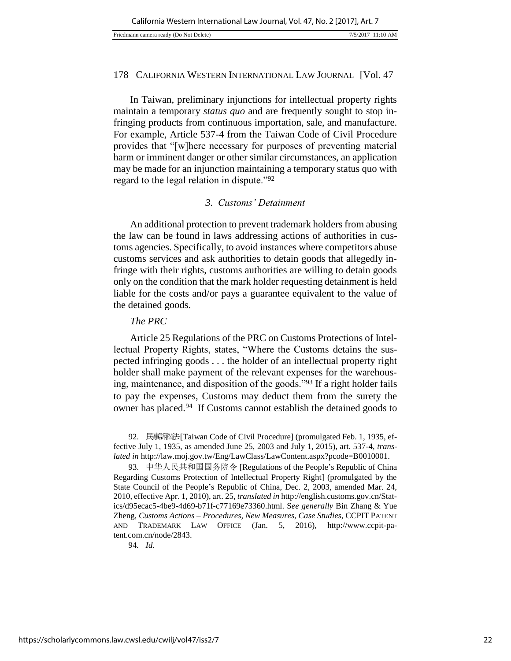In Taiwan, preliminary injunctions for intellectual property rights maintain a temporary *status quo* and are frequently sought to stop infringing products from continuous importation, sale, and manufacture. For example, Article 537-4 from the Taiwan Code of Civil Procedure provides that "[w]here necessary for purposes of preventing material harm or imminent danger or other similar circumstances, an application may be made for an injunction maintaining a temporary status quo with regard to the legal relation in dispute."<sup>92</sup>

# *3. Customs' Detainment*

An additional protection to prevent trademark holders from abusing the law can be found in laws addressing actions of authorities in customs agencies. Specifically, to avoid instances where competitors abuse customs services and ask authorities to detain goods that allegedly infringe with their rights, customs authorities are willing to detain goods only on the condition that the mark holder requesting detainment is held liable for the costs and/or pays a guarantee equivalent to the value of the detained goods.

# *The PRC*

Article 25 Regulations of the PRC on Customs Protections of Intellectual Property Rights, states, "Where the Customs detains the suspected infringing goods . . . the holder of an intellectual property right holder shall make payment of the relevant expenses for the warehousing, maintenance, and disposition of the goods."<sup>93</sup> If a right holder fails to pay the expenses, Customs may deduct them from the surety the owner has placed.<sup>94</sup> If Customs cannot establish the detained goods to

<sup>92.</sup> 民事訴訟法 [Taiwan Code of Civil Procedure] (promulgated Feb. 1, 1935, effective July 1, 1935, as amended June 25, 2003 and July 1, 2015), art. 537-4, *translated in* http://law.moj.gov.tw/Eng/LawClass/LawContent.aspx?pcode=B0010001.

<sup>93.</sup> 中华人民共和国国务院令 [Regulations of the People's Republic of China Regarding Customs Protection of Intellectual Property Right] (promulgated by the State Council of the People's Republic of China, Dec. 2, 2003, amended Mar. 24, 2010, effective Apr. 1, 2010), art. 25, *translated in* http://english.customs.gov.cn/Statics/d95ecac5-4be9-4d69-b71f-c77169e73360.html. S*ee generally* Bin Zhang & Yue Zheng, *Customs Actions – Procedures, New Measures, Case Studies*, CCPIT PATENT AND TRADEMARK LAW OFFICE (Jan. 5, 2016), http://www.ccpit-patent.com.cn/node/2843.

<sup>94</sup>*. Id.*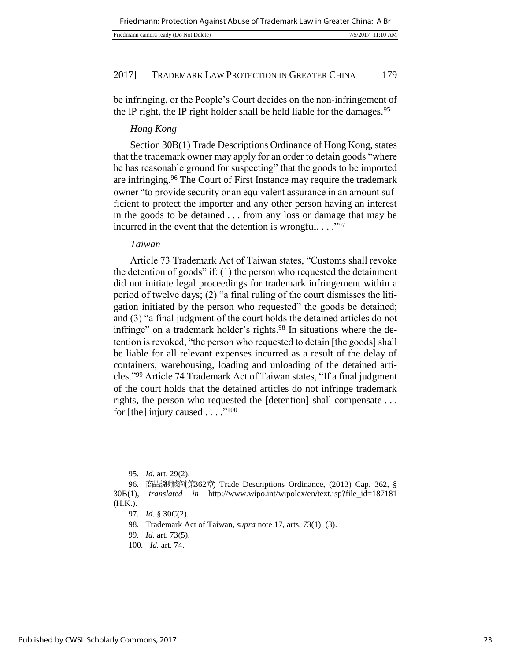| Friedmann camera ready (Do Not Delete) | 7/5/2017 11:10 AM |
|----------------------------------------|-------------------|

be infringing, or the People's Court decides on the non-infringement of the IP right, the IP right holder shall be held liable for the damages.<sup>95</sup>

# *Hong Kong*

Section 30B(1) Trade Descriptions Ordinance of Hong Kong, states that the trademark owner may apply for an order to detain goods "where he has reasonable ground for suspecting" that the goods to be imported are infringing.<sup>96</sup> The Court of First Instance may require the trademark owner "to provide security or an equivalent assurance in an amount sufficient to protect the importer and any other person having an interest in the goods to be detained . . . from any loss or damage that may be incurred in the event that the detention is wrongful.  $\ldots$ <sup>97</sup>

## *Taiwan*

Article 73 Trademark Act of Taiwan states, "Customs shall revoke the detention of goods" if: (1) the person who requested the detainment did not initiate legal proceedings for trademark infringement within a period of twelve days; (2) "a final ruling of the court dismisses the litigation initiated by the person who requested" the goods be detained; and (3) "a final judgment of the court holds the detained articles do not infringe" on a trademark holder's rights.<sup>98</sup> In situations where the detention is revoked, "the person who requested to detain [the goods] shall be liable for all relevant expenses incurred as a result of the delay of containers, warehousing, loading and unloading of the detained articles."<sup>99</sup> Article 74 Trademark Act of Taiwan states, "If a final judgment of the court holds that the detained articles do not infringe trademark rights, the person who requested the [detention] shall compensate . . . for [the] injury caused  $\dots$ ."100

<sup>95</sup>*. Id.* art. 29(2).

<sup>96.</sup> 商品説明條例(第362章) Trade Descriptions Ordinance, (2013) Cap. 362, § 30B(1), *translated in* http://www.wipo.int/wipolex/en/text.jsp?file\_id=187181 (H.K.).

<sup>97</sup>*. Id.* § 30C(2).

<sup>98.</sup> Trademark Act of Taiwan, *supra* note 17, arts. 73(1)–(3).

<sup>99</sup>*. Id.* art. 73(5).

<sup>100</sup>*. Id.* art. 74.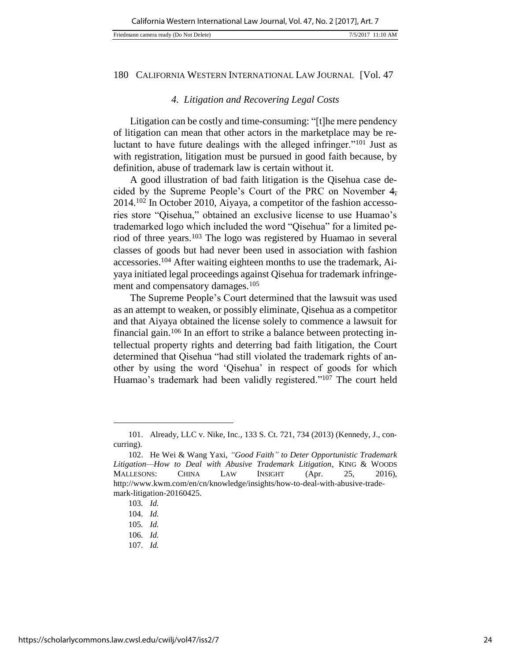| Friedmann camera ready (Do Not Delete) |  |
|----------------------------------------|--|
|                                        |  |

## *4. Litigation and Recovering Legal Costs*

Litigation can be costly and time-consuming: "[t]he mere pendency of litigation can mean that other actors in the marketplace may be reluctant to have future dealings with the alleged infringer."<sup>101</sup> Just as with registration, litigation must be pursued in good faith because, by definition, abuse of trademark law is certain without it.

A good illustration of bad faith litigation is the Qisehua case decided by the Supreme People's Court of the PRC on November 4, 2014.102 In October 2010, Aiyaya, a competitor of the fashion accessories store "Qisehua," obtained an exclusive license to use Huamao's trademarked logo which included the word "Qisehua" for a limited period of three years.<sup>103</sup> The logo was registered by Huamao in several classes of goods but had never been used in association with fashion accessories.104 After waiting eighteen months to use the trademark, Aiyaya initiated legal proceedings against Qisehua for trademark infringement and compensatory damages.<sup>105</sup>

The Supreme People's Court determined that the lawsuit was used as an attempt to weaken, or possibly eliminate, Qisehua as a competitor and that Aiyaya obtained the license solely to commence a lawsuit for financial gain.106 In an effort to strike a balance between protecting intellectual property rights and deterring bad faith litigation, the Court determined that Qisehua "had still violated the trademark rights of another by using the word 'Qisehua' in respect of goods for which Huamao's trademark had been validly registered."<sup>107</sup> The court held

<sup>101.</sup> Already, LLC v. Nike, Inc*.*, 133 S. Ct. 721, 734 (2013) (Kennedy, J., concurring).

<sup>102.</sup> He Wei & Wang Yaxi, *"Good Faith" to Deter Opportunistic Trademark Litigation—How to Deal with Abusive Trademark Litigation*, KING & WOODS MALLESONS: CHINA LAW INSIGHT (Apr. 25, 2016), http://www.kwm.com/en/cn/knowledge/insights/how-to-deal-with-abusive-trademark-litigation-20160425.

<sup>103</sup>*. Id.*

<sup>104</sup>*. Id.*

<sup>105</sup>*. Id.*

<sup>106</sup>*. Id.*

<sup>107</sup>*. Id.*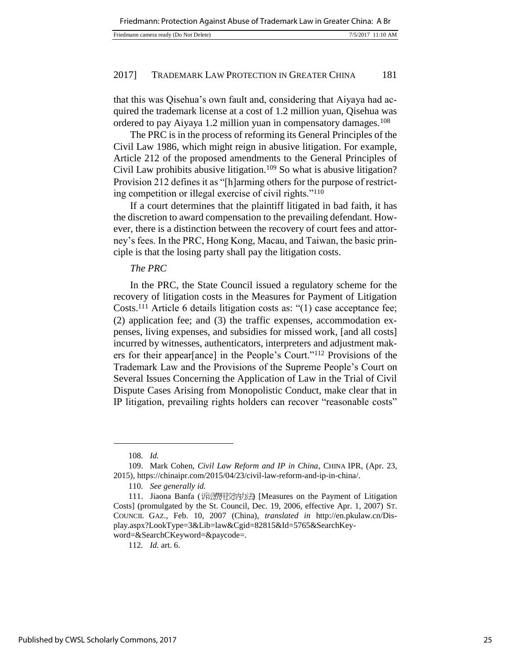| Friedmann camera ready (Do Not Delete) |  | 7/5/2017 11:10 AM |
|----------------------------------------|--|-------------------|
|----------------------------------------|--|-------------------|

that this was Qisehua's own fault and, considering that Aiyaya had acquired the trademark license at a cost of 1.2 million yuan, Qisehua was ordered to pay Aiyaya 1.2 million yuan in compensatory damages.<sup>108</sup>

The PRC is in the process of reforming its General Principles of the Civil Law 1986, which might reign in abusive litigation. For example, Article 212 of the proposed amendments to the General Principles of Civil Law prohibits abusive litigation.<sup>109</sup> So what is abusive litigation? Provision 212 defines it as "[h]arming others for the purpose of restricting competition or illegal exercise of civil rights."<sup>110</sup>

If a court determines that the plaintiff litigated in bad faith, it has the discretion to award compensation to the prevailing defendant. However, there is a distinction between the recovery of court fees and attorney's fees. In the PRC, Hong Kong, Macau, and Taiwan, the basic principle is that the losing party shall pay the litigation costs.

## *The PRC*

In the PRC, the State Council issued a regulatory scheme for the recovery of litigation costs in the Measures for Payment of Litigation Costs.<sup>111</sup> Article 6 details litigation costs as: "(1) case acceptance fee; (2) application fee; and (3) the traffic expenses, accommodation expenses, living expenses, and subsidies for missed work, [and all costs] incurred by witnesses, authenticators, interpreters and adjustment makers for their appear[ance] in the People's Court."<sup>112</sup> Provisions of the Trademark Law and the Provisions of the Supreme People's Court on Several Issues Concerning the Application of Law in the Trial of Civil Dispute Cases Arising from Monopolistic Conduct, make clear that in IP litigation, prevailing rights holders can recover "reasonable costs"

l

112*. Id.* art. 6.

<sup>108</sup>*. Id.*

<sup>109.</sup> Mark Cohen, *Civil Law Reform and IP in China*, CHINA IPR, (Apr. 23, 2015), https://chinaipr.com/2015/04/23/civil-law-reform-and-ip-in-china/.

<sup>110</sup>*. See generally id.*

<sup>111.</sup> Jiaona Banfa (诉讼费用交纳法) [Measures on the Payment of Litigation Costs] (promulgated by the St. Council, Dec. 19, 2006, effective Apr. 1, 2007) ST. COUNCIL GAZ., Feb. 10, 2007 (China), *translated in* http://en.pkulaw.cn/Display.aspx?LookType=3&Lib=law&Cgid=82815&Id=5765&SearchKeyword=&SearchCKeyword=&paycode=.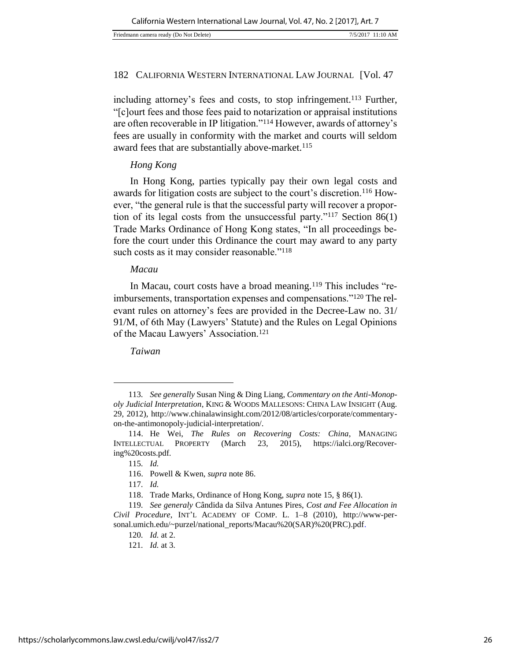including attorney's fees and costs, to stop infringement.<sup>113</sup> Further, "[c]ourt fees and those fees paid to notarization or appraisal institutions are often recoverable in IP litigation."<sup>114</sup> However, awards of attorney's fees are usually in conformity with the market and courts will seldom award fees that are substantially above-market.<sup>115</sup>

## *Hong Kong*

In Hong Kong, parties typically pay their own legal costs and awards for litigation costs are subject to the court's discretion.116 However, "the general rule is that the successful party will recover a proportion of its legal costs from the unsuccessful party."<sup>117</sup> Section 86(1) Trade Marks Ordinance of Hong Kong states, "In all proceedings before the court under this Ordinance the court may award to any party such costs as it may consider reasonable."<sup>118</sup>

#### *Macau*

In Macau, court costs have a broad meaning.<sup>119</sup> This includes "reimbursements, transportation expenses and compensations."120 The relevant rules on attorney's fees are provided in the Decree-Law no. 31/ 91/M, of 6th May (Lawyers' Statute) and the Rules on Legal Opinions of the Macau Lawyers' Association.<sup>121</sup>

*Taiwan*

<sup>113</sup>*. See generally* Susan Ning & Ding Liang, *Commentary on the Anti-Monopoly Judicial Interpretation*, KING & WOODS MALLESONS: CHINA LAW INSIGHT (Aug. 29, 2012), http://www.chinalawinsight.com/2012/08/articles/corporate/commentaryon-the-antimonopoly-judicial-interpretation/.

<sup>114.</sup> He Wei, *The Rules on Recovering Costs: China*, MANAGING INTELLECTUAL PROPERTY (March 23, 2015), https://ialci.org/Recovering%20costs.pdf.

<sup>115</sup>*. Id.*

<sup>116.</sup> Powell & Kwen, *supra* note 86.

<sup>117</sup>*. Id.*

<sup>118.</sup> Trade Marks, Ordinance of Hong Kong, *supra* note 15, § 86(1).

<sup>119</sup>*. See generaly* Cândida da Silva Antunes Pires, *Cost and Fee Allocation in Civil Procedure*, INT'L ACADEMY OF COMP. L. 1–8 (2010), http://www-personal.umich.edu/~purzel/national\_reports/Macau%20(SAR)%20(PRC).pdf.

<sup>120</sup>*. Id.* at 2.

<sup>121</sup>*. Id.* at 3.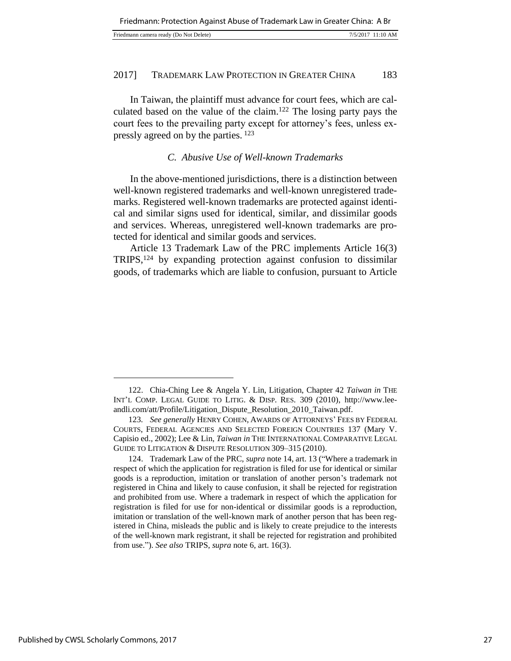| Friedmann camera ready (Do Not Delete)<br>7/5/2017 11:10 AM |
|-------------------------------------------------------------|
|-------------------------------------------------------------|

In Taiwan, the plaintiff must advance for court fees, which are calculated based on the value of the claim.<sup>122</sup> The losing party pays the court fees to the prevailing party except for attorney's fees, unless expressly agreed on by the parties. <sup>123</sup>

#### *C. Abusive Use of Well-known Trademarks*

In the above-mentioned jurisdictions, there is a distinction between well-known registered trademarks and well-known unregistered trademarks. Registered well-known trademarks are protected against identical and similar signs used for identical, similar, and dissimilar goods and services. Whereas, unregistered well-known trademarks are protected for identical and similar goods and services.

Article 13 Trademark Law of the PRC implements Article 16(3) TRIPS,<sup>124</sup> by expanding protection against confusion to dissimilar goods, of trademarks which are liable to confusion, pursuant to Article

<sup>122.</sup> Chia-Ching Lee & Angela Y. Lin, Litigation, Chapter 42 *Taiwan in* THE INT'L COMP. LEGAL GUIDE TO LITIG. & DISP. RES. 309 (2010), http://www.leeandli.com/att/Profile/Litigation\_Dispute\_Resolution\_2010\_Taiwan.pdf.

<sup>123</sup>*. See generally* HENRY COHEN, AWARDS OF ATTORNEYS' FEES BY FEDERAL COURTS, FEDERAL AGENCIES AND SELECTED FOREIGN COUNTRIES 137 (Mary V. Capisio ed., 2002); Lee & Lin, *Taiwan in* THE INTERNATIONAL COMPARATIVE LEGAL GUIDE TO LITIGATION & DISPUTE RESOLUTION 309–315 (2010).

<sup>124.</sup> Trademark Law of the PRC, *supra* note 14, art. 13 ("Where a trademark in respect of which the application for registration is filed for use for identical or similar goods is a reproduction, imitation or translation of another person's trademark not registered in China and likely to cause confusion, it shall be rejected for registration and prohibited from use. Where a trademark in respect of which the application for registration is filed for use for non-identical or dissimilar goods is a reproduction, imitation or translation of the well-known mark of another person that has been registered in China, misleads the public and is likely to create prejudice to the interests of the well-known mark registrant, it shall be rejected for registration and prohibited from use."). *See also* TRIPS, *supra* note 6, art. 16(3).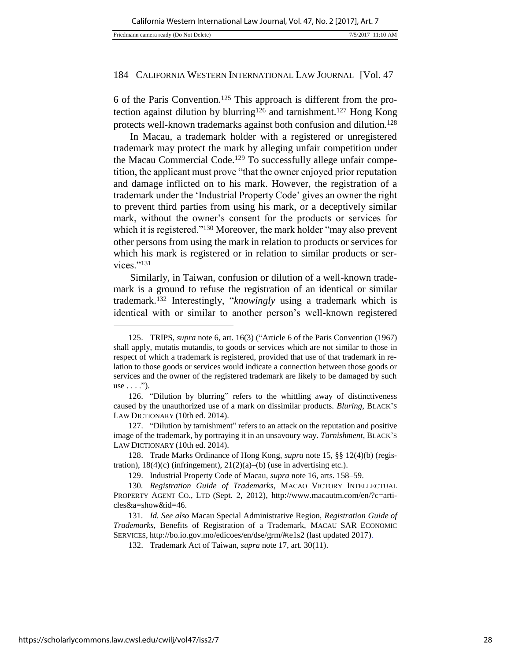6 of the Paris Convention.125 This approach is different from the protection against dilution by blurring<sup>126</sup> and tarnishment.<sup>127</sup> Hong Kong protects well-known trademarks against both confusion and dilution.<sup>128</sup>

In Macau, a trademark holder with a registered or unregistered trademark may protect the mark by alleging unfair competition under the Macau Commercial Code.129 To successfully allege unfair competition, the applicant must prove "that the owner enjoyed prior reputation and damage inflicted on to his mark. However, the registration of a trademark under the 'Industrial Property Code' gives an owner the right to prevent third parties from using his mark, or a deceptively similar mark, without the owner's consent for the products or services for which it is registered."<sup>130</sup> Moreover, the mark holder "may also prevent" other persons from using the mark in relation to products or services for which his mark is registered or in relation to similar products or services."<sup>131</sup>

Similarly, in Taiwan, confusion or dilution of a well-known trademark is a ground to refuse the registration of an identical or similar trademark.<sup>132</sup> Interestingly, "*knowingly* using a trademark which is identical with or similar to another person's well-known registered

<sup>125.</sup> TRIPS, *supra* note 6, art. 16(3) ("Article 6 of the Paris Convention (1967) shall apply, mutatis mutandis, to goods or services which are not similar to those in respect of which a trademark is registered, provided that use of that trademark in relation to those goods or services would indicate a connection between those goods or services and the owner of the registered trademark are likely to be damaged by such use  $\ldots$ .").

<sup>126.</sup> "Dilution by blurring" refers to the whittling away of distinctiveness caused by the unauthorized use of a mark on dissimilar products. *Bluring*, BLACK'S LAW DICTIONARY (10th ed. 2014).

<sup>127.</sup> "Dilution by tarnishment" refers to an attack on the reputation and positive image of the trademark, by portraying it in an unsavoury way. *Tarnishment*, BLACK'S LAW DICTIONARY (10th ed. 2014).

<sup>128.</sup> Trade Marks Ordinance of Hong Kong, *supra* note 15, §§ 12(4)(b) (registration),  $18(4)(c)$  (infringement),  $21(2)(a)$ –(b) (use in advertising etc.).

<sup>129.</sup> Industrial Property Code of Macau, *supra* note 16, arts. 158–59.

<sup>130</sup>*. Registration Guide of Trademarks*, MACAO VICTORY INTELLECTUAL PROPERTY AGENT CO., LTD (Sept. 2, 2012), http://www.macautm.com/en/?c=articles&a=show&id=46.

<sup>131</sup>*. Id. See also* Macau Special Administrative Region, *Registration Guide of Trademarks*, Benefits of Registration of a Trademark, MACAU SAR ECONOMIC SERVICES, http://bo.io.gov.mo/edicoes/en/dse/grm/#te1s2 (last updated 2017).

<sup>132.</sup> Trademark Act of Taiwan, *supra* note 17, art. 30(11).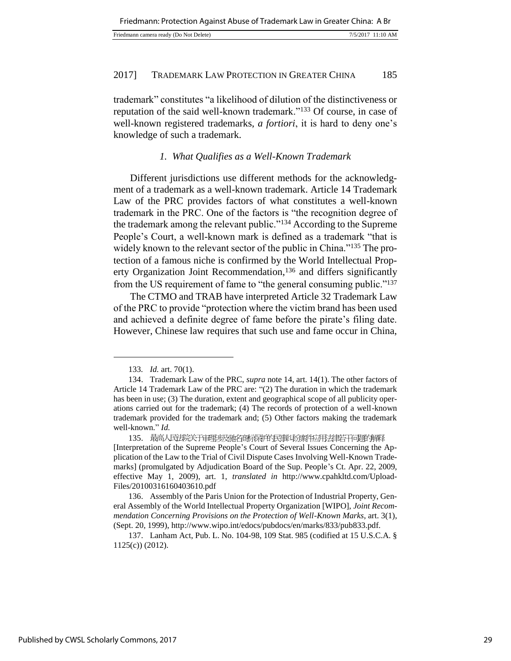|  | Friedmann camera ready (Do Not Delete) | 11:10 AM<br>7/5/2017 |
|--|----------------------------------------|----------------------|
|--|----------------------------------------|----------------------|

trademark" constitutes "a likelihood of dilution of the distinctiveness or reputation of the said well-known trademark."<sup>133</sup> Of course, in case of well-known registered trademarks, *a fortiori*, it is hard to deny one's knowledge of such a trademark.

## *1. What Qualifies as a Well-Known Trademark*

Different jurisdictions use different methods for the acknowledgment of a trademark as a well-known trademark. Article 14 Trademark Law of the PRC provides factors of what constitutes a well-known trademark in the PRC. One of the factors is "the recognition degree of the trademark among the relevant public."<sup>134</sup> According to the Supreme People's Court, a well-known mark is defined as a trademark "that is widely known to the relevant sector of the public in China."135 The protection of a famous niche is confirmed by the World Intellectual Property Organization Joint Recommendation,<sup>136</sup> and differs significantly from the US requirement of fame to "the general consuming public."<sup>137</sup>

The CTMO and TRAB have interpreted Article 32 Trademark Law of the PRC to provide "protection where the victim brand has been used and achieved a definite degree of fame before the pirate's filing date. However, Chinese law requires that such use and fame occur in China,

<sup>133</sup>*. Id.* art. 70(1).

<sup>134.</sup> Trademark Law of the PRC, *supra* note 14, art. 14(1). The other factors of Article 14 Trademark Law of the PRC are: "(2) The duration in which the trademark has been in use; (3) The duration, extent and geographical scope of all publicity operations carried out for the trademark; (4) The records of protection of a well-known trademark provided for the trademark and; (5) Other factors making the trademark well-known." *Id.*

<sup>135.</sup> 最高人民进院关于审理涉及驰名商标保护的民事纠纷案件应用法律若干问题的解释 [Interpretation of the Supreme People's Court of Several Issues Concerning the Application of the Law to the Trial of Civil Dispute Cases Involving Well-Known Trademarks] (promulgated by Adjudication Board of the Sup. People's Ct. Apr. 22, 2009, effective May 1, 2009), art. 1, *translated in* http://www.cpahkltd.com/Upload-Files/20100316160403610.pdf

<sup>136.</sup> Assembly of the Paris Union for the Protection of Industrial Property, General Assembly of the World Intellectual Property Organization [WIPO], *Joint Recommendation Concerning Provisions on the Protection of Well-Known Marks*, art. 3(1), (Sept. 20, 1999), http://www.wipo.int/edocs/pubdocs/en/marks/833/pub833.pdf.

<sup>137.</sup> Lanham Act, Pub. L. No. 104-98, 109 Stat. 985 (codified at 15 U.S.C.A. § 1125(c)) (2012).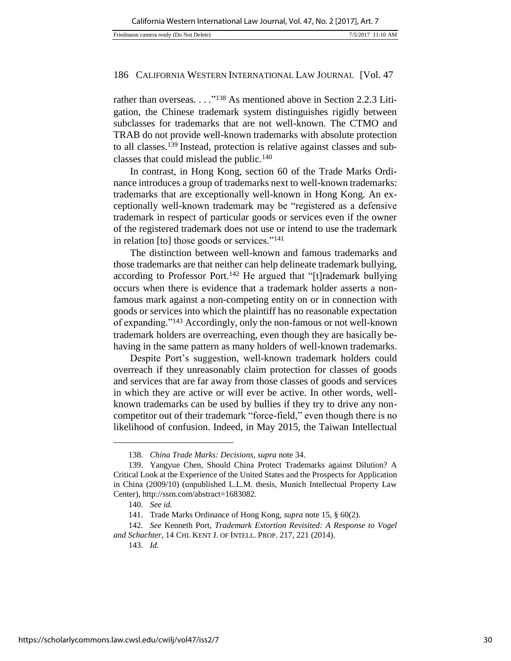rather than overseas. . . . "<sup>138</sup> As mentioned above in Section 2.2.3 Litigation, the Chinese trademark system distinguishes rigidly between subclasses for trademarks that are not well-known. The CTMO and TRAB do not provide well-known trademarks with absolute protection to all classes.<sup>139</sup> Instead, protection is relative against classes and subclasses that could mislead the public.<sup>140</sup>

In contrast, in Hong Kong, section 60 of the Trade Marks Ordinance introduces a group of trademarks next to well-known trademarks: trademarks that are exceptionally well-known in Hong Kong. An exceptionally well-known trademark may be "registered as a defensive trademark in respect of particular goods or services even if the owner of the registered trademark does not use or intend to use the trademark in relation [to] those goods or services."<sup>141</sup>

The distinction between well-known and famous trademarks and those trademarks are that neither can help delineate trademark bullying, according to Professor Port.<sup>142</sup> He argued that "[t]rademark bullying occurs when there is evidence that a trademark holder asserts a nonfamous mark against a non-competing entity on or in connection with goods or services into which the plaintiff has no reasonable expectation of expanding."<sup>143</sup> Accordingly, only the non-famous or not well-known trademark holders are overreaching, even though they are basically behaving in the same pattern as many holders of well-known trademarks.

Despite Port's suggestion, well-known trademark holders could overreach if they unreasonably claim protection for classes of goods and services that are far away from those classes of goods and services in which they are active or will ever be active. In other words, wellknown trademarks can be used by bullies if they try to drive any noncompetitor out of their trademark "force-field," even though there is no likelihood of confusion. Indeed, in May 2015, the Taiwan Intellectual

<sup>138</sup>*. China Trade Marks: Decisions*, *supra* note 34.

<sup>139.</sup> Yangyue Chen, Should China Protect Trademarks against Dilution? A Critical Look at the Experience of the United States and the Prospects for Application in China (2009/10) (unpublished L.L.M. thesis, Munich Intellectual Property Law Center), http://ssrn.com/abstract=1683082.

<sup>140</sup>*. See id.*

<sup>141.</sup> Trade Marks Ordinance of Hong Kong, *supra* note 15, § 60(2).

<sup>142</sup>*. See* Kenneth Port, *Trademark Extortion Revisited: A Response to Vogel and Schachter*, 14 CHI. KENT J. OF INTELL. PROP. 217, 221 (2014).

<sup>143</sup>*. Id*.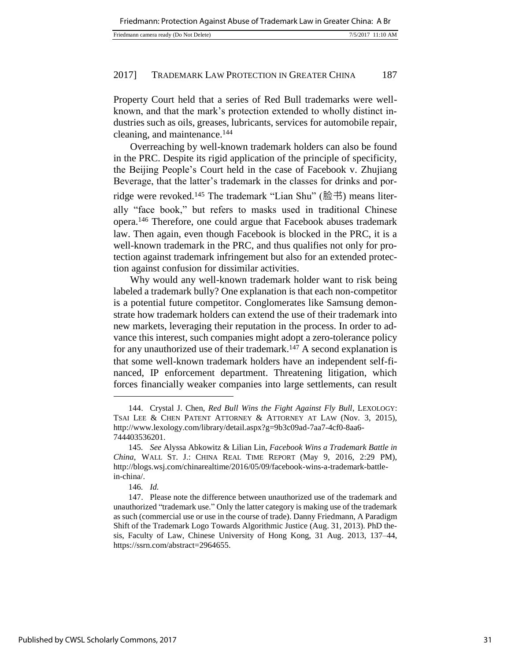| Friedmann camera ready (Do Not Delete) | 7/5/2017 11:10 AM |  |
|----------------------------------------|-------------------|--|
|                                        |                   |  |

Property Court held that a series of Red Bull trademarks were wellknown, and that the mark's protection extended to wholly distinct industries such as oils, greases, lubricants, services for automobile repair, cleaning, and maintenance.<sup>144</sup>

Overreaching by well-known trademark holders can also be found in the PRC. Despite its rigid application of the principle of specificity, the Beijing People's Court held in the case of Facebook v. Zhujiang Beverage, that the latter's trademark in the classes for drinks and porridge were revoked.<sup>145</sup> The trademark "Lian Shu" (脸书) means literally "face book," but refers to masks used in traditional Chinese opera.<sup>146</sup> Therefore, one could argue that Facebook abuses trademark law. Then again, even though Facebook is blocked in the PRC, it is a well-known trademark in the PRC, and thus qualifies not only for protection against trademark infringement but also for an extended protection against confusion for dissimilar activities.

Why would any well-known trademark holder want to risk being labeled a trademark bully? One explanation is that each non-competitor is a potential future competitor. Conglomerates like Samsung demonstrate how trademark holders can extend the use of their trademark into new markets, leveraging their reputation in the process. In order to advance this interest, such companies might adopt a zero-tolerance policy for any unauthorized use of their trademark.<sup>147</sup> A second explanation is that some well-known trademark holders have an independent self-financed, IP enforcement department. Threatening litigation, which forces financially weaker companies into large settlements, can result

<sup>144.</sup> Crystal J. Chen, *Red Bull Wins the Fight Against Fly Bull*, LEXOLOGY: TSAI LEE & CHEN PATENT ATTORNEY & ATTORNEY AT LAW (Nov. 3, 2015), http://www.lexology.com/library/detail.aspx?g=9b3c09ad-7aa7-4cf0-8aa6- 744403536201.

<sup>145</sup>*. See* Alyssa Abkowitz & Lilian Lin, *Facebook Wins a Trademark Battle in China*, WALL ST. J.: CHINA REAL TIME REPORT (May 9, 2016, 2:29 PM), http://blogs.wsj.com/chinarealtime/2016/05/09/facebook-wins-a-trademark-battlein-china/.

<sup>146</sup>*. Id.*

<sup>147.</sup> Please note the difference between unauthorized use of the trademark and unauthorized "trademark use." Only the latter category is making use of the trademark as such (commercial use or use in the course of trade). Danny Friedmann, A Paradigm Shift of the Trademark Logo Towards Algorithmic Justice (Aug. 31, 2013). PhD thesis, Faculty of Law, Chinese University of Hong Kong, 31 Aug. 2013, 137–44, https://ssrn.com/abstract=2964655.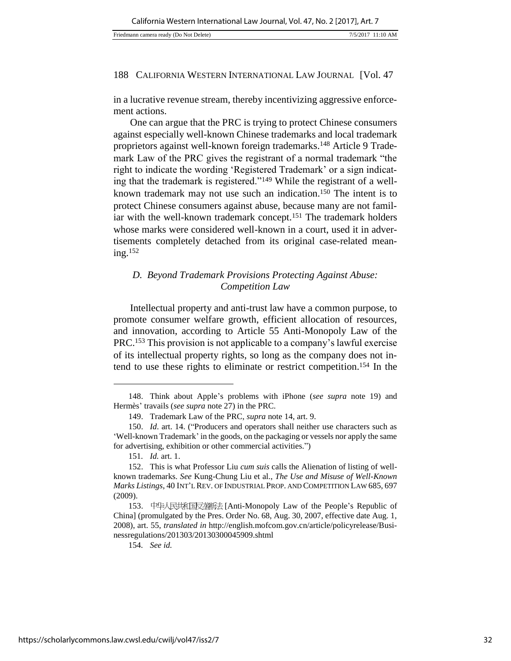in a lucrative revenue stream, thereby incentivizing aggressive enforcement actions.

One can argue that the PRC is trying to protect Chinese consumers against especially well-known Chinese trademarks and local trademark proprietors against well-known foreign trademarks.148 Article 9 Trademark Law of the PRC gives the registrant of a normal trademark "the right to indicate the wording 'Registered Trademark' or a sign indicating that the trademark is registered."149 While the registrant of a wellknown trademark may not use such an indication.<sup>150</sup> The intent is to protect Chinese consumers against abuse, because many are not familiar with the well-known trademark concept.<sup>151</sup> The trademark holders whose marks were considered well-known in a court, used it in advertisements completely detached from its original case-related meaning.<sup>152</sup>

# *D. Beyond Trademark Provisions Protecting Against Abuse: Competition Law*

Intellectual property and anti-trust law have a common purpose, to promote consumer welfare growth, efficient allocation of resources, and innovation, according to Article 55 Anti-Monopoly Law of the PRC.<sup>153</sup> This provision is not applicable to a company's lawful exercise of its intellectual property rights, so long as the company does not intend to use these rights to eliminate or restrict competition.<sup>154</sup> In the

l

154*. See id.*

<sup>148.</sup> Think about Apple's problems with iPhone (*see supra* note 19) and Hermès' travails (*see supra* note 27) in the PRC.

<sup>149.</sup> Trademark Law of the PRC, *supra* note 14, art. 9.

<sup>150.</sup> *Id*. art. 14. ("Producers and operators shall neither use characters such as 'Well-known Trademark' in the goods, on the packaging or vessels nor apply the same for advertising, exhibition or other commercial activities.")

<sup>151</sup>*. Id.* art. 1.

<sup>152.</sup> This is what Professor Liu *cum suis* calls the Alienation of listing of wellknown trademarks. *See* Kung-Chung Liu et al., *The Use and Misuse of Well-Known Marks Listings*, 40 INT'L REV. OF INDUSTRIAL PROP. AND COMPETITION LAW 685, 697 (2009).

<sup>153.</sup> 中华人民共和国反垄断法 [Anti-Monopoly Law of the People's Republic of China] (promulgated by the Pres. Order No. 68, Aug. 30, 2007, effective date Aug. 1, 2008), art. 55, *translated in* http://english.mofcom.gov.cn/article/policyrelease/Businessregulations/201303/20130300045909.shtml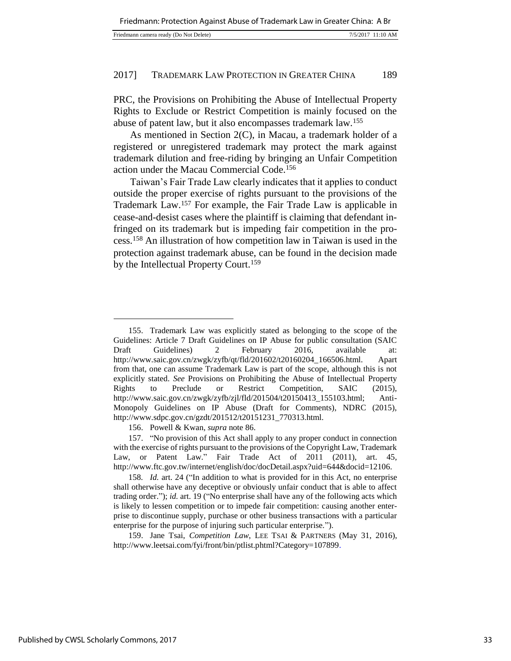| Friedmann camera ready (Do Not Delete)<br>7/5/2017 11:10 AM |  |
|-------------------------------------------------------------|--|
|-------------------------------------------------------------|--|

PRC, the Provisions on Prohibiting the Abuse of Intellectual Property Rights to Exclude or Restrict Competition is mainly focused on the abuse of patent law, but it also encompasses trademark law.<sup>155</sup>

As mentioned in Section 2(C), in Macau, a trademark holder of a registered or unregistered trademark may protect the mark against trademark dilution and free-riding by bringing an Unfair Competition action under the Macau Commercial Code.<sup>156</sup>

Taiwan's Fair Trade Law clearly indicates that it applies to conduct outside the proper exercise of rights pursuant to the provisions of the Trademark Law.<sup>157</sup> For example, the Fair Trade Law is applicable in cease-and-desist cases where the plaintiff is claiming that defendant infringed on its trademark but is impeding fair competition in the process.<sup>158</sup> An illustration of how competition law in Taiwan is used in the protection against trademark abuse, can be found in the decision made by the Intellectual Property Court.<sup>159</sup>

156. Powell & Kwan, *supra* note 86.

159. Jane Tsai, *Competition Law*, LEE TSAI & PARTNERS (May 31, 2016), http://www.leetsai.com/fyi/front/bin/ptlist.phtml?Category=107899.

<sup>155.</sup> Trademark Law was explicitly stated as belonging to the scope of the Guidelines: Article 7 Draft Guidelines on IP Abuse for public consultation (SAIC Draft Guidelines) 2 February 2016, available at: http://www.saic.gov.cn/zwgk/zyfb/qt/fld/201602/t20160204\_166506.html. Apart from that, one can assume Trademark Law is part of the scope, although this is not explicitly stated. *See* Provisions on Prohibiting the Abuse of Intellectual Property Rights to Preclude or Restrict Competition, SAIC (2015), http://www.saic.gov.cn/zwgk/zyfb/zjl/fld/201504/t20150413\_155103.html; Anti-Monopoly Guidelines on IP Abuse (Draft for Comments), NDRC (2015), http://www.sdpc.gov.cn/gzdt/201512/t20151231\_770313.html.

<sup>157.</sup> "No provision of this Act shall apply to any proper conduct in connection with the exercise of rights pursuant to the provisions of the Copyright Law, Trademark Law, or Patent Law." Fair Trade Act of 2011 (2011), art. 45, http://www.ftc.gov.tw/internet/english/doc/docDetail.aspx?uid=644&docid=12106.

<sup>158</sup>*. Id.* art. 24 ("In addition to what is provided for in this Act, no enterprise shall otherwise have any deceptive or obviously unfair conduct that is able to affect trading order."); *id.* art. 19 ("No enterprise shall have any of the following acts which is likely to lessen competition or to impede fair competition: causing another enterprise to discontinue supply, purchase or other business transactions with a particular enterprise for the purpose of injuring such particular enterprise.").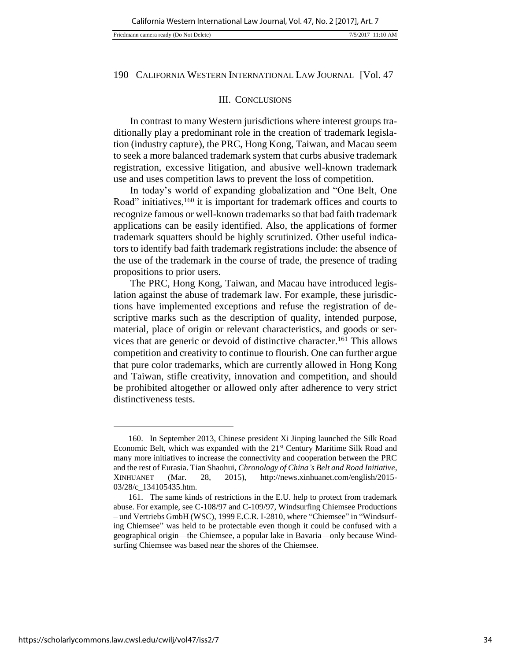#### III. CONCLUSIONS

In contrast to many Western jurisdictions where interest groups traditionally play a predominant role in the creation of trademark legislation (industry capture), the PRC, Hong Kong, Taiwan, and Macau seem to seek a more balanced trademark system that curbs abusive trademark registration, excessive litigation, and abusive well-known trademark use and uses competition laws to prevent the loss of competition.

In today's world of expanding globalization and "One Belt, One Road" initiatives,<sup>160</sup> it is important for trademark offices and courts to recognize famous or well-known trademarks so that bad faith trademark applications can be easily identified. Also, the applications of former trademark squatters should be highly scrutinized. Other useful indicators to identify bad faith trademark registrations include: the absence of the use of the trademark in the course of trade, the presence of trading propositions to prior users.

The PRC, Hong Kong, Taiwan, and Macau have introduced legislation against the abuse of trademark law. For example, these jurisdictions have implemented exceptions and refuse the registration of descriptive marks such as the description of quality, intended purpose, material, place of origin or relevant characteristics, and goods or services that are generic or devoid of distinctive character.<sup>161</sup> This allows competition and creativity to continue to flourish. One can further argue that pure color trademarks, which are currently allowed in Hong Kong and Taiwan, stifle creativity, innovation and competition, and should be prohibited altogether or allowed only after adherence to very strict distinctiveness tests.

<sup>160.</sup> In September 2013, Chinese president Xi Jinping launched the Silk Road Economic Belt, which was expanded with the 21<sup>st</sup> Century Maritime Silk Road and many more initiatives to increase the connectivity and cooperation between the PRC and the rest of Eurasia. Tian Shaohui, *Chronology of China's Belt and Road Initiative*, XINHUANET (Mar. 28, 2015), http://news.xinhuanet.com/english/2015- 03/28/c\_134105435.htm.

<sup>161.</sup> The same kinds of restrictions in the E.U. help to protect from trademark abuse. For example, see C-108/97 and C-109/97, Windsurfing Chiemsee Productions – und Vertriebs GmbH (WSC), 1999 E.C.R. I-2810, where "Chiemsee" in "Windsurfing Chiemsee" was held to be protectable even though it could be confused with a geographical origin—the Chiemsee, a popular lake in Bavaria—only because Windsurfing Chiemsee was based near the shores of the Chiemsee.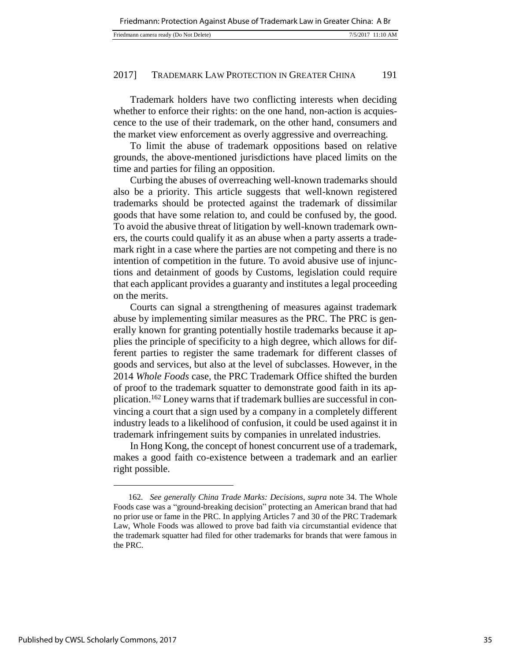| Friedmann camera ready (Do Not Delete) | 7/5/2017 11:10 AM |
|----------------------------------------|-------------------|

Trademark holders have two conflicting interests when deciding whether to enforce their rights: on the one hand, non-action is acquiescence to the use of their trademark, on the other hand, consumers and the market view enforcement as overly aggressive and overreaching.

To limit the abuse of trademark oppositions based on relative grounds, the above-mentioned jurisdictions have placed limits on the time and parties for filing an opposition.

Curbing the abuses of overreaching well-known trademarks should also be a priority. This article suggests that well-known registered trademarks should be protected against the trademark of dissimilar goods that have some relation to, and could be confused by, the good. To avoid the abusive threat of litigation by well-known trademark owners, the courts could qualify it as an abuse when a party asserts a trademark right in a case where the parties are not competing and there is no intention of competition in the future. To avoid abusive use of injunctions and detainment of goods by Customs, legislation could require that each applicant provides a guaranty and institutes a legal proceeding on the merits.

Courts can signal a strengthening of measures against trademark abuse by implementing similar measures as the PRC. The PRC is generally known for granting potentially hostile trademarks because it applies the principle of specificity to a high degree, which allows for different parties to register the same trademark for different classes of goods and services, but also at the level of subclasses. However, in the 2014 *Whole Foods* case, the PRC Trademark Office shifted the burden of proof to the trademark squatter to demonstrate good faith in its application.162 Loney warns that if trademark bullies are successful in convincing a court that a sign used by a company in a completely different industry leads to a likelihood of confusion, it could be used against it in trademark infringement suits by companies in unrelated industries.

In Hong Kong, the concept of honest concurrent use of a trademark, makes a good faith co-existence between a trademark and an earlier right possible.

<sup>162</sup>*. See generally China Trade Marks: Decisions*, *supra* note 34. The Whole Foods case was a "ground-breaking decision" protecting an American brand that had no prior use or fame in the PRC. In applying Articles 7 and 30 of the PRC Trademark Law, Whole Foods was allowed to prove bad faith via circumstantial evidence that the trademark squatter had filed for other trademarks for brands that were famous in the PRC.